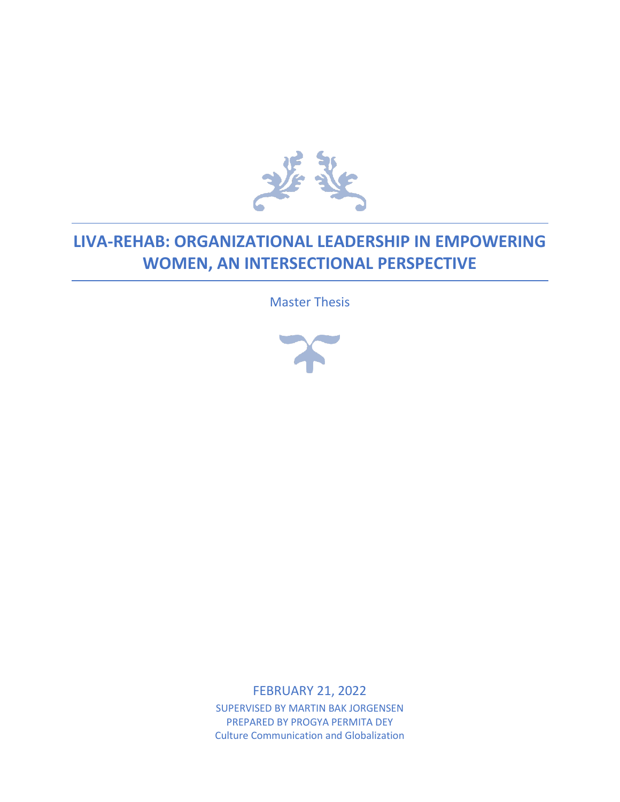

# **LIVA-REHAB: ORGANIZATIONAL LEADERSHIP IN EMPOWERING WOMEN, AN INTERSECTIONAL PERSPECTIVE**

Master Thesis



FEBRUARY 21, 2022

SUPERVISED BY MARTIN BAK JORGENSEN PREPARED BY PROGYA PERMITA DEY Culture Communication and Globalization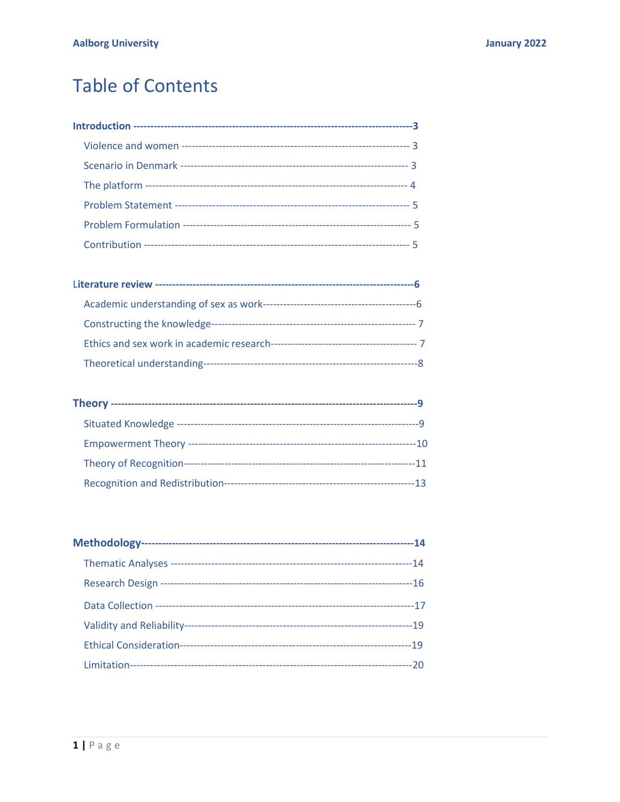# **Table of Contents**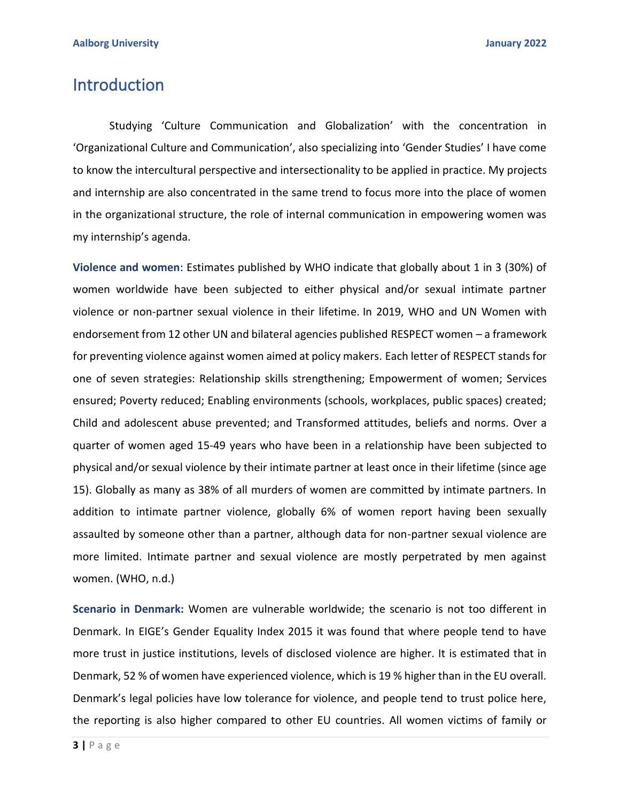# Introduction

Studying 'Culture Communication and Globalization' with the concentration in 'Organizational Culture and Communication', also specializing into 'Gender Studies' I have come to know the intercultural perspective and intersectionality to be applied in practice. My projects and internship are also concentrated in the same trend to focus more into the place of women in the organizational structure, the role of internal communication in empowering women was my internship's agenda.

**Violence and women**: Estimates published by WHO indicate that globally about 1 in 3 (30%) of women worldwide have been subjected to either physical and/or sexual intimate partner violence or non-partner sexual violence in their lifetime. In 2019, WHO and UN Women with endorsement from 12 other UN and bilateral agencies published RESPECT women – a framework for preventing violence against women aimed at policy makers. Each letter of RESPECT stands for one of seven strategies: Relationship skills strengthening; Empowerment of women; Services ensured; Poverty reduced; Enabling environments (schools, workplaces, public spaces) created; Child and adolescent abuse prevented; and Transformed attitudes, beliefs and norms. Over a quarter of women aged 15-49 years who have been in a relationship have been subjected to physical and/or sexual violence by their intimate partner at least once in their lifetime (since age 15). Globally as many as 38% of all murders of women are committed by intimate partners. In addition to intimate partner violence, globally 6% of women report having been sexually assaulted by someone other than a partner, although data for non-partner sexual violence are more limited. Intimate partner and sexual violence are mostly perpetrated by men against women. (WHO, n.d.)

**Scenario in Denmark:** Women are vulnerable worldwide; the scenario is not too different in Denmark. In EIGE's Gender Equality Index 2015 it was found that where people tend to have more trust in justice institutions, levels of disclosed violence are higher. It is estimated that in Denmark, 52 % of women have experienced violence, which is 19 % higher than in the EU overall. Denmark's legal policies have low tolerance for violence, and people tend to trust police here, the reporting is also higher compared to other EU countries. All women victims of family or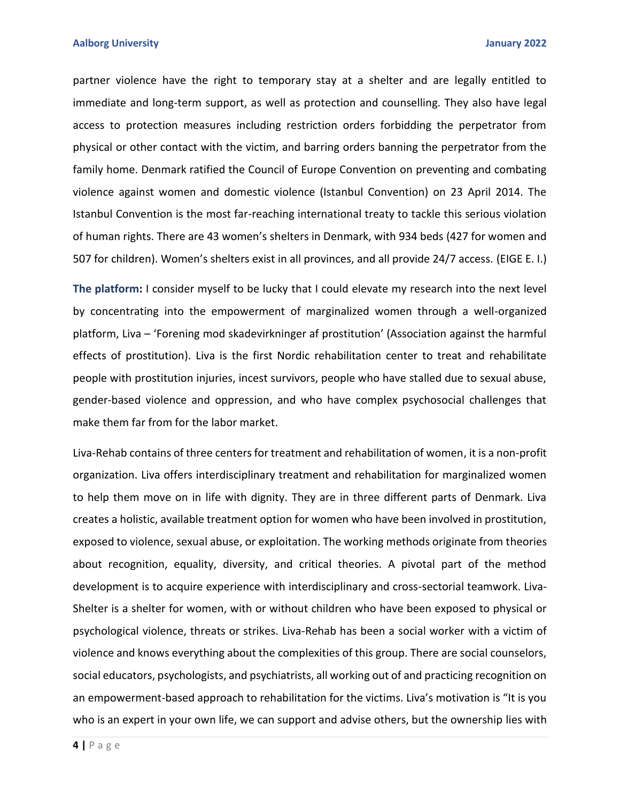partner violence have the right to temporary stay at a shelter and are legally entitled to immediate and long-term support, as well as protection and counselling. They also have legal access to protection measures including restriction orders forbidding the perpetrator from physical or other contact with the victim, and barring orders banning the perpetrator from the family home. Denmark ratified the Council of Europe Convention on preventing and combating violence against women and domestic violence (Istanbul Convention) on 23 April 2014. The Istanbul Convention is the most far-reaching international treaty to tackle this serious violation of human rights. There are 43 women's shelters in Denmark, with 934 beds (427 for women and 507 for children). Women's shelters exist in all provinces, and all provide 24/7 access. (EIGE E. I.)

**The platform:** I consider myself to be lucky that I could elevate my research into the next level by concentrating into the empowerment of marginalized women through a well-organized platform, Liva – 'Forening mod skadevirkninger af prostitution' (Association against the harmful effects of prostitution). Liva is the first Nordic rehabilitation center to treat and rehabilitate people with prostitution injuries, incest survivors, people who have stalled due to sexual abuse, gender-based violence and oppression, and who have complex psychosocial challenges that make them far from for the labor market.

Liva-Rehab contains of three centers for treatment and rehabilitation of women, it is a non-profit organization. Liva offers interdisciplinary treatment and rehabilitation for marginalized women to help them move on in life with dignity. They are in three different parts of Denmark. Liva creates a holistic, available treatment option for women who have been involved in prostitution, exposed to violence, sexual abuse, or exploitation. The working methods originate from theories about recognition, equality, diversity, and critical theories. A pivotal part of the method development is to acquire experience with interdisciplinary and cross-sectorial teamwork. Liva-Shelter is a shelter for women, with or without children who have been exposed to physical or psychological violence, threats or strikes. Liva-Rehab has been a social worker with a victim of violence and knows everything about the complexities of this group. There are social counselors, social educators, psychologists, and psychiatrists, all working out of and practicing recognition on an empowerment-based approach to rehabilitation for the victims. Liva's motivation is "It is you who is an expert in your own life, we can support and advise others, but the ownership lies with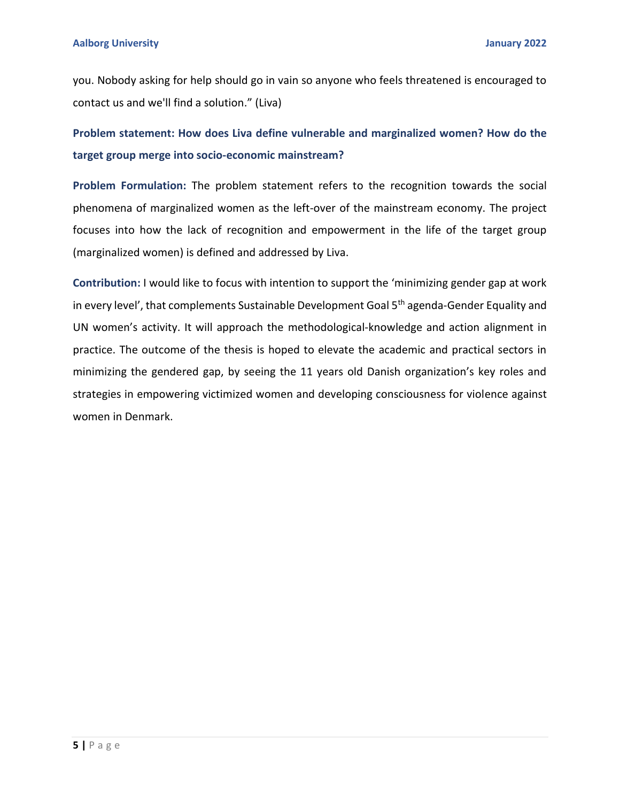you. Nobody asking for help should go in vain so anyone who feels threatened is encouraged to contact us and we'll find a solution." (Liva)

**Problem statement: How does Liva define vulnerable and marginalized women? How do the target group merge into socio-economic mainstream?**

**Problem Formulation:** The problem statement refers to the recognition towards the social phenomena of marginalized women as the left-over of the mainstream economy. The project focuses into how the lack of recognition and empowerment in the life of the target group (marginalized women) is defined and addressed by Liva.

**Contribution:** I would like to focus with intention to support the 'minimizing gender gap at work in every level', that complements Sustainable Development Goal 5<sup>th</sup> agenda-Gender Equality and UN women's activity. It will approach the methodological-knowledge and action alignment in practice. The outcome of the thesis is hoped to elevate the academic and practical sectors in minimizing the gendered gap, by seeing the 11 years old Danish organization's key roles and strategies in empowering victimized women and developing consciousness for violence against women in Denmark.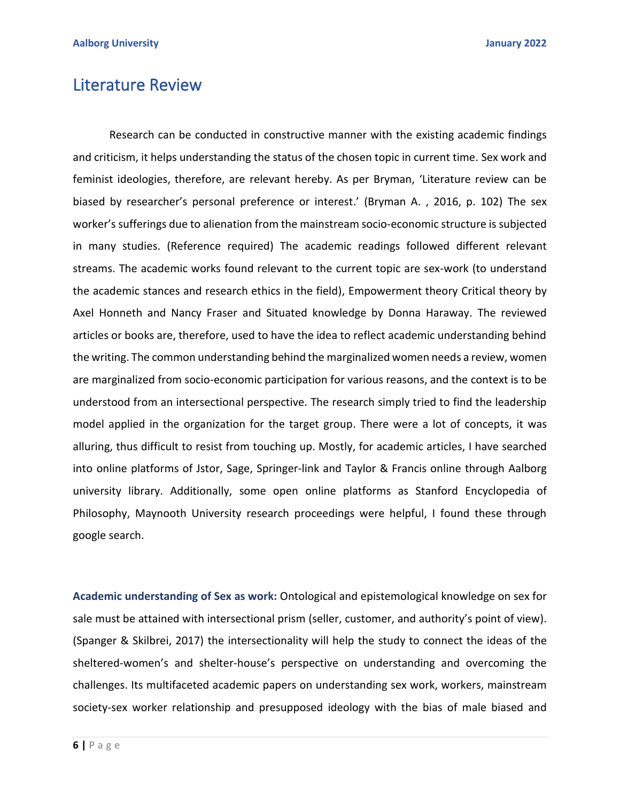## Literature Review

Research can be conducted in constructive manner with the existing academic findings and criticism, it helps understanding the status of the chosen topic in current time. Sex work and feminist ideologies, therefore, are relevant hereby. As per Bryman, 'Literature review can be biased by researcher's personal preference or interest.' (Bryman A. , 2016, p. 102) The sex worker's sufferings due to alienation from the mainstream socio-economic structure is subjected in many studies. (Reference required) The academic readings followed different relevant streams. The academic works found relevant to the current topic are sex-work (to understand the academic stances and research ethics in the field), Empowerment theory Critical theory by Axel Honneth and Nancy Fraser and Situated knowledge by Donna Haraway. The reviewed articles or books are, therefore, used to have the idea to reflect academic understanding behind the writing. The common understanding behind the marginalized women needs a review, women are marginalized from socio-economic participation for various reasons, and the context is to be understood from an intersectional perspective. The research simply tried to find the leadership model applied in the organization for the target group. There were a lot of concepts, it was alluring, thus difficult to resist from touching up. Mostly, for academic articles, I have searched into online platforms of Jstor, Sage, Springer-link and Taylor & Francis online through Aalborg university library. Additionally, some open online platforms as Stanford Encyclopedia of Philosophy, Maynooth University research proceedings were helpful, I found these through google search.

**Academic understanding of Sex as work:** Ontological and epistemological knowledge on sex for sale must be attained with intersectional prism (seller, customer, and authority's point of view). (Spanger & Skilbrei, 2017) the intersectionality will help the study to connect the ideas of the sheltered-women's and shelter-house's perspective on understanding and overcoming the challenges. Its multifaceted academic papers on understanding sex work, workers, mainstream society-sex worker relationship and presupposed ideology with the bias of male biased and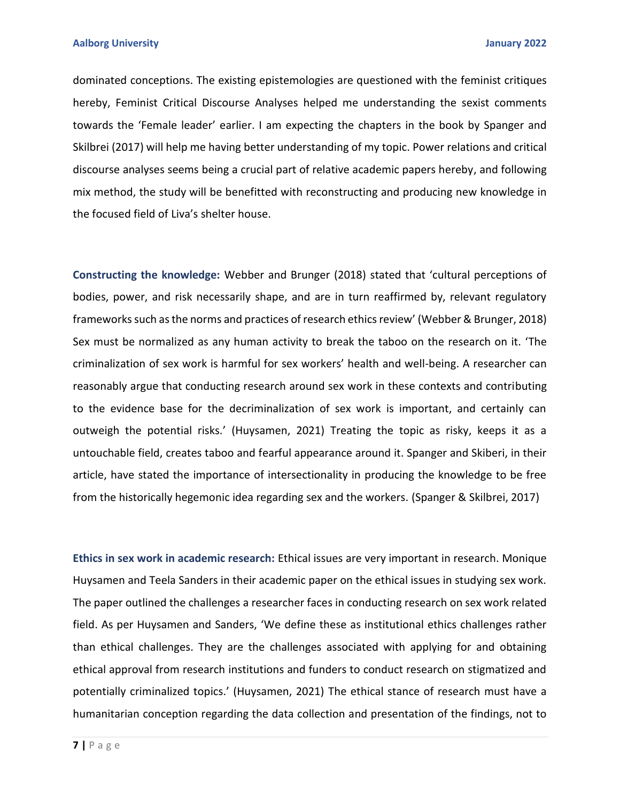dominated conceptions. The existing epistemologies are questioned with the feminist critiques hereby, Feminist Critical Discourse Analyses helped me understanding the sexist comments towards the 'Female leader' earlier. I am expecting the chapters in the book by Spanger and Skilbrei (2017) will help me having better understanding of my topic. Power relations and critical discourse analyses seems being a crucial part of relative academic papers hereby, and following mix method, the study will be benefitted with reconstructing and producing new knowledge in the focused field of Liva's shelter house.

**Constructing the knowledge:** Webber and Brunger (2018) stated that 'cultural perceptions of bodies, power, and risk necessarily shape, and are in turn reaffirmed by, relevant regulatory frameworks such as the norms and practices of research ethics review' (Webber & Brunger, 2018) Sex must be normalized as any human activity to break the taboo on the research on it. 'The criminalization of sex work is harmful for sex workers' health and well-being. A researcher can reasonably argue that conducting research around sex work in these contexts and contributing to the evidence base for the decriminalization of sex work is important, and certainly can outweigh the potential risks.' (Huysamen, 2021) Treating the topic as risky, keeps it as a untouchable field, creates taboo and fearful appearance around it. Spanger and Skiberi, in their article, have stated the importance of intersectionality in producing the knowledge to be free from the historically hegemonic idea regarding sex and the workers. (Spanger & Skilbrei, 2017)

**Ethics in sex work in academic research:** Ethical issues are very important in research. Monique Huysamen and Teela Sanders in their academic paper on the ethical issues in studying sex work. The paper outlined the challenges a researcher faces in conducting research on sex work related field. As per Huysamen and Sanders, 'We define these as institutional ethics challenges rather than ethical challenges. They are the challenges associated with applying for and obtaining ethical approval from research institutions and funders to conduct research on stigmatized and potentially criminalized topics.' (Huysamen, 2021) The ethical stance of research must have a humanitarian conception regarding the data collection and presentation of the findings, not to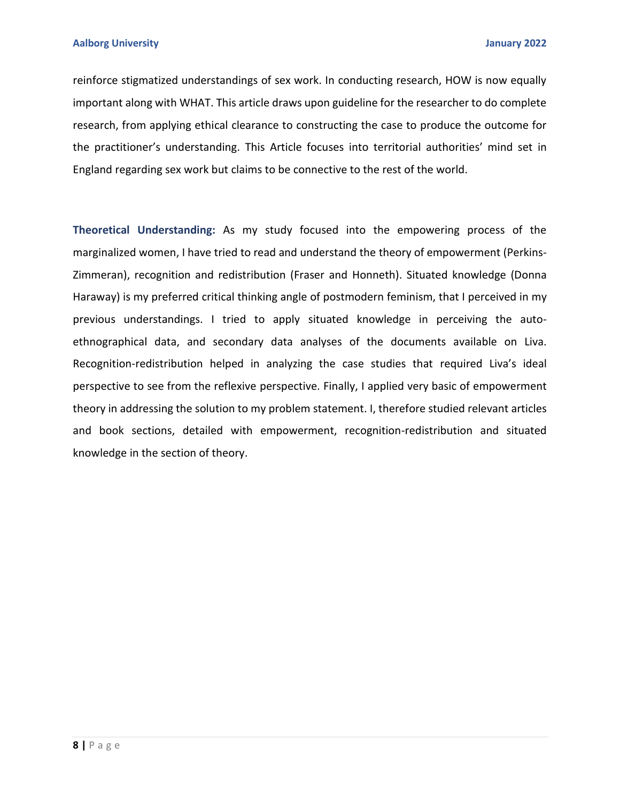reinforce stigmatized understandings of sex work. In conducting research, HOW is now equally important along with WHAT. This article draws upon guideline for the researcher to do complete research, from applying ethical clearance to constructing the case to produce the outcome for the practitioner's understanding. This Article focuses into territorial authorities' mind set in England regarding sex work but claims to be connective to the rest of the world.

**Theoretical Understanding:** As my study focused into the empowering process of the marginalized women, I have tried to read and understand the theory of empowerment (Perkins-Zimmeran), recognition and redistribution (Fraser and Honneth). Situated knowledge (Donna Haraway) is my preferred critical thinking angle of postmodern feminism, that I perceived in my previous understandings. I tried to apply situated knowledge in perceiving the autoethnographical data, and secondary data analyses of the documents available on Liva. Recognition-redistribution helped in analyzing the case studies that required Liva's ideal perspective to see from the reflexive perspective. Finally, I applied very basic of empowerment theory in addressing the solution to my problem statement. I, therefore studied relevant articles and book sections, detailed with empowerment, recognition-redistribution and situated knowledge in the section of theory.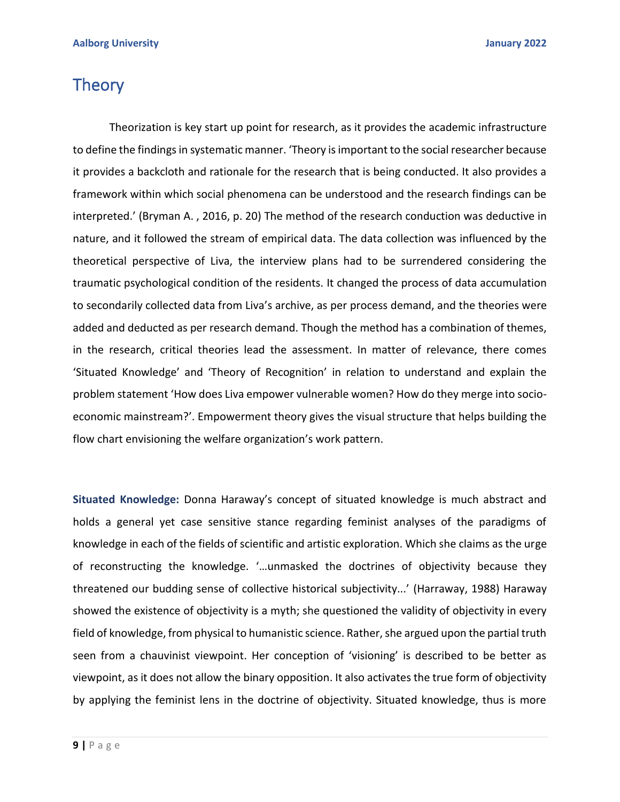# **Theory**

Theorization is key start up point for research, as it provides the academic infrastructure to define the findings in systematic manner. 'Theory is important to the social researcher because it provides a backcloth and rationale for the research that is being conducted. It also provides a framework within which social phenomena can be understood and the research findings can be interpreted.' (Bryman A. , 2016, p. 20) The method of the research conduction was deductive in nature, and it followed the stream of empirical data. The data collection was influenced by the theoretical perspective of Liva, the interview plans had to be surrendered considering the traumatic psychological condition of the residents. It changed the process of data accumulation to secondarily collected data from Liva's archive, as per process demand, and the theories were added and deducted as per research demand. Though the method has a combination of themes, in the research, critical theories lead the assessment. In matter of relevance, there comes 'Situated Knowledge' and 'Theory of Recognition' in relation to understand and explain the problem statement 'How does Liva empower vulnerable women? How do they merge into socioeconomic mainstream?'. Empowerment theory gives the visual structure that helps building the flow chart envisioning the welfare organization's work pattern.

**Situated Knowledge:** Donna Haraway's concept of situated knowledge is much abstract and holds a general yet case sensitive stance regarding feminist analyses of the paradigms of knowledge in each of the fields of scientific and artistic exploration. Which she claims as the urge of reconstructing the knowledge. '…unmasked the doctrines of objectivity because they threatened our budding sense of collective historical subjectivity...' (Harraway, 1988) Haraway showed the existence of objectivity is a myth; she questioned the validity of objectivity in every field of knowledge, from physical to humanistic science. Rather, she argued upon the partial truth seen from a chauvinist viewpoint. Her conception of 'visioning' is described to be better as viewpoint, as it does not allow the binary opposition. It also activates the true form of objectivity by applying the feminist lens in the doctrine of objectivity. Situated knowledge, thus is more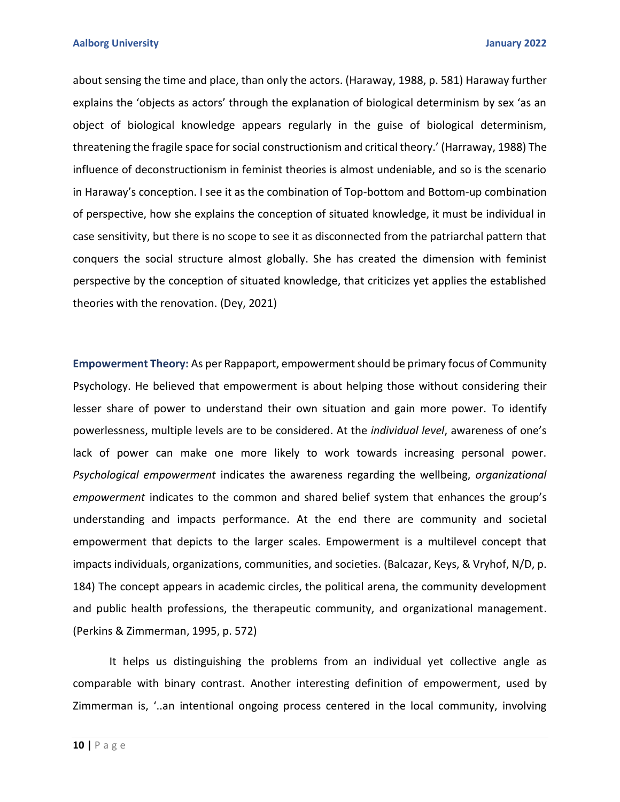about sensing the time and place, than only the actors. (Haraway, 1988, p. 581) Haraway further explains the 'objects as actors' through the explanation of biological determinism by sex 'as an object of biological knowledge appears regularly in the guise of biological determinism, threatening the fragile space for social constructionism and critical theory.' (Harraway, 1988) The influence of deconstructionism in feminist theories is almost undeniable, and so is the scenario in Haraway's conception. I see it as the combination of Top-bottom and Bottom-up combination of perspective, how she explains the conception of situated knowledge, it must be individual in case sensitivity, but there is no scope to see it as disconnected from the patriarchal pattern that conquers the social structure almost globally. She has created the dimension with feminist perspective by the conception of situated knowledge, that criticizes yet applies the established theories with the renovation. (Dey, 2021)

**Empowerment Theory:** As per Rappaport, empowerment should be primary focus of Community Psychology. He believed that empowerment is about helping those without considering their lesser share of power to understand their own situation and gain more power. To identify powerlessness, multiple levels are to be considered. At the *individual level*, awareness of one's lack of power can make one more likely to work towards increasing personal power. *Psychological empowerment* indicates the awareness regarding the wellbeing, *organizational empowerment* indicates to the common and shared belief system that enhances the group's understanding and impacts performance. At the end there are community and societal empowerment that depicts to the larger scales. Empowerment is a multilevel concept that impacts individuals, organizations, communities, and societies. (Balcazar, Keys, & Vryhof, N/D, p. 184) The concept appears in academic circles, the political arena, the community development and public health professions, the therapeutic community, and organizational management. (Perkins & Zimmerman, 1995, p. 572)

It helps us distinguishing the problems from an individual yet collective angle as comparable with binary contrast. Another interesting definition of empowerment, used by Zimmerman is, '..an intentional ongoing process centered in the local community, involving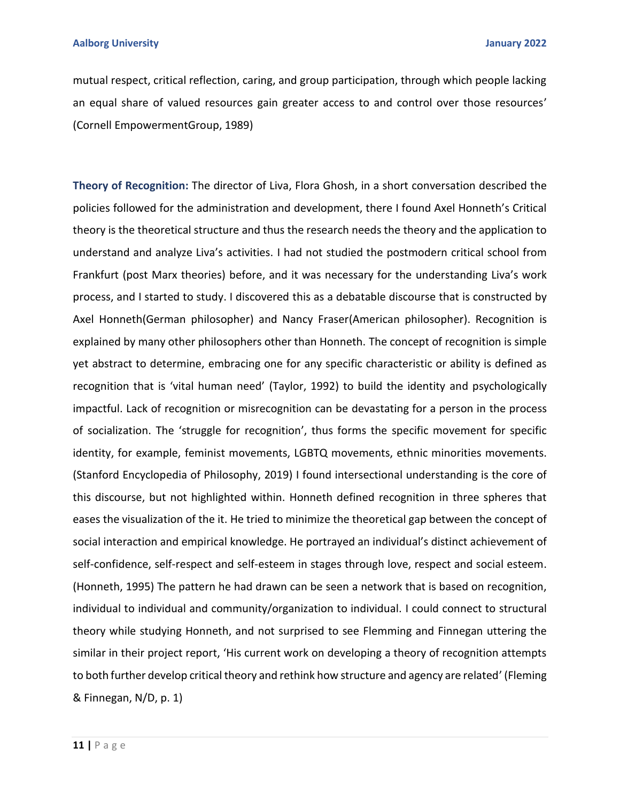mutual respect, critical reflection, caring, and group participation, through which people lacking an equal share of valued resources gain greater access to and control over those resources' (Cornell EmpowermentGroup, 1989)

**Theory of Recognition:** The director of Liva, Flora Ghosh, in a short conversation described the policies followed for the administration and development, there I found Axel Honneth's Critical theory is the theoretical structure and thus the research needs the theory and the application to understand and analyze Liva's activities. I had not studied the postmodern critical school from Frankfurt (post Marx theories) before, and it was necessary for the understanding Liva's work process, and I started to study. I discovered this as a debatable discourse that is constructed by Axel Honneth(German philosopher) and Nancy Fraser(American philosopher). Recognition is explained by many other philosophers other than Honneth. The concept of recognition is simple yet abstract to determine, embracing one for any specific characteristic or ability is defined as recognition that is 'vital human need' (Taylor, 1992) to build the identity and psychologically impactful. Lack of recognition or misrecognition can be devastating for a person in the process of socialization. The 'struggle for recognition', thus forms the specific movement for specific identity, for example, feminist movements, LGBTQ movements, ethnic minorities movements. (Stanford Encyclopedia of Philosophy, 2019) I found intersectional understanding is the core of this discourse, but not highlighted within. Honneth defined recognition in three spheres that eases the visualization of the it. He tried to minimize the theoretical gap between the concept of social interaction and empirical knowledge. He portrayed an individual's distinct achievement of self-confidence, self-respect and self-esteem in stages through love, respect and social esteem. (Honneth, 1995) The pattern he had drawn can be seen a network that is based on recognition, individual to individual and community/organization to individual. I could connect to structural theory while studying Honneth, and not surprised to see Flemming and Finnegan uttering the similar in their project report, 'His current work on developing a theory of recognition attempts to both further develop critical theory and rethink how structure and agency are related' (Fleming & Finnegan, N/D, p. 1)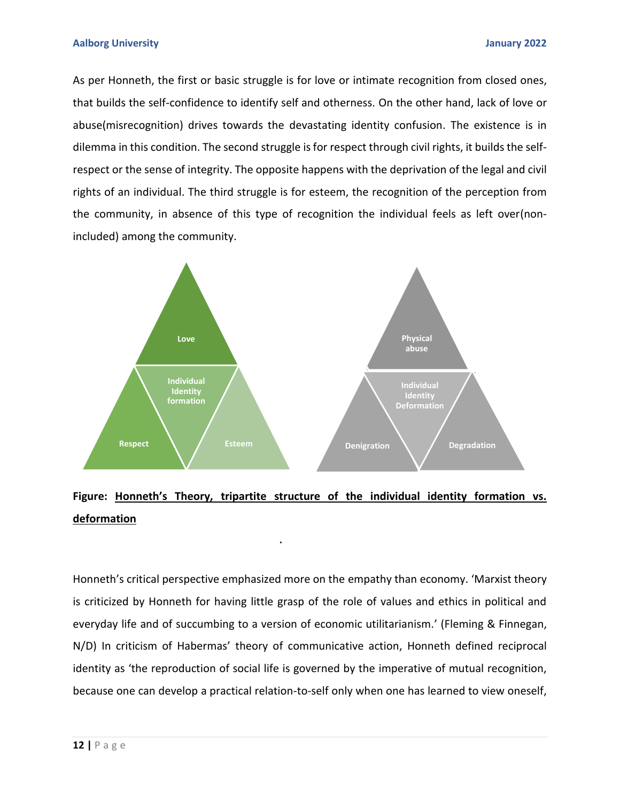As per Honneth, the first or basic struggle is for love or intimate recognition from closed ones, that builds the self-confidence to identify self and otherness. On the other hand, lack of love or abuse(misrecognition) drives towards the devastating identity confusion. The existence is in dilemma in this condition. The second struggle is for respect through civil rights, it builds the selfrespect or the sense of integrity. The opposite happens with the deprivation of the legal and civil rights of an individual. The third struggle is for esteem, the recognition of the perception from the community, in absence of this type of recognition the individual feels as left over(nonincluded) among the community.



## **Figure: Honneth's Theory, tripartite structure of the individual identity formation vs. deformation**

Honneth's critical perspective emphasized more on the empathy than economy. 'Marxist theory is criticized by Honneth for having little grasp of the role of values and ethics in political and everyday life and of succumbing to a version of economic utilitarianism.' (Fleming & Finnegan, N/D) In criticism of Habermas' theory of communicative action, Honneth defined reciprocal identity as 'the reproduction of social life is governed by the imperative of mutual recognition, because one can develop a practical relation-to-self only when one has learned to view oneself,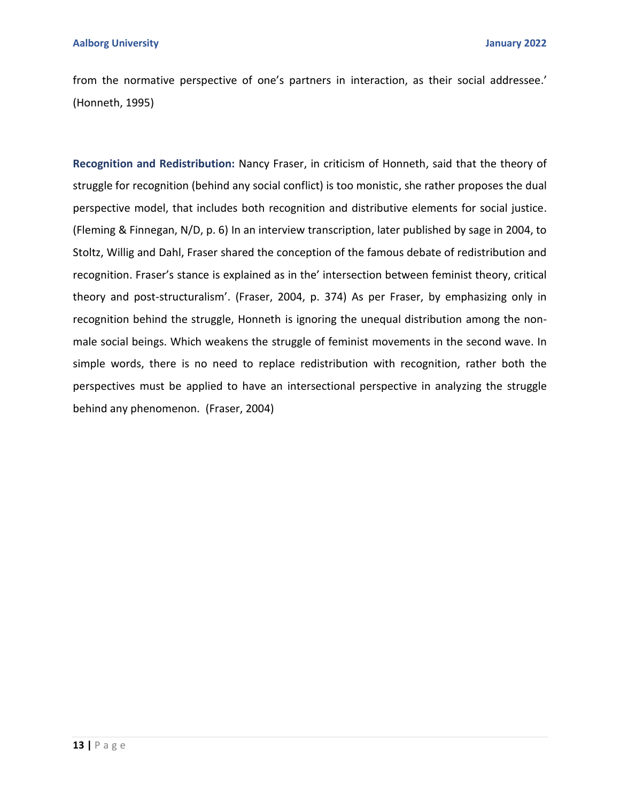from the normative perspective of one's partners in interaction, as their social addressee.' (Honneth, 1995)

**Recognition and Redistribution:** Nancy Fraser, in criticism of Honneth, said that the theory of struggle for recognition (behind any social conflict) is too monistic, she rather proposes the dual perspective model, that includes both recognition and distributive elements for social justice. (Fleming & Finnegan, N/D, p. 6) In an interview transcription, later published by sage in 2004, to Stoltz, Willig and Dahl, Fraser shared the conception of the famous debate of redistribution and recognition. Fraser's stance is explained as in the' intersection between feminist theory, critical theory and post-structuralism'. (Fraser, 2004, p. 374) As per Fraser, by emphasizing only in recognition behind the struggle, Honneth is ignoring the unequal distribution among the nonmale social beings. Which weakens the struggle of feminist movements in the second wave. In simple words, there is no need to replace redistribution with recognition, rather both the perspectives must be applied to have an intersectional perspective in analyzing the struggle behind any phenomenon. (Fraser, 2004)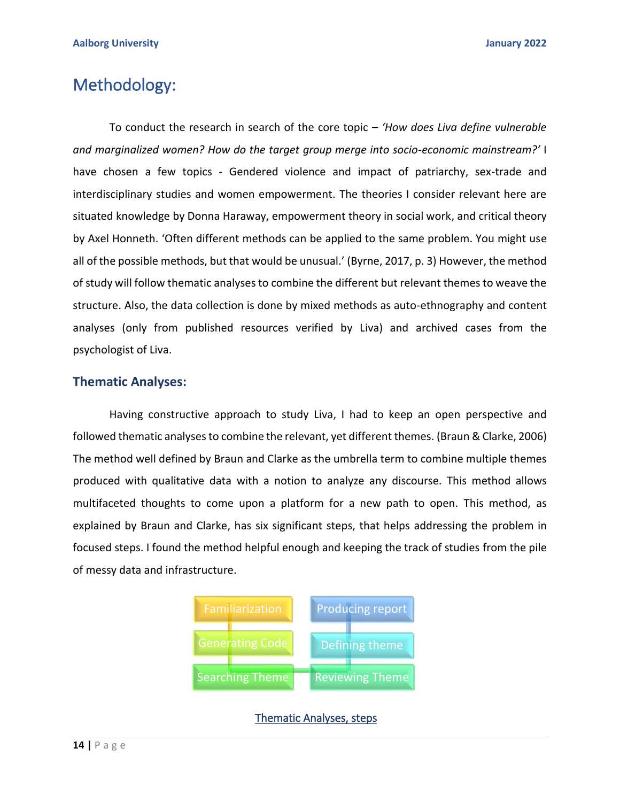# Methodology:

To conduct the research in search of the core topic – *'How does Liva define vulnerable and marginalized women? How do the target group merge into socio-economic mainstream?'* I have chosen a few topics - Gendered violence and impact of patriarchy, sex-trade and interdisciplinary studies and women empowerment. The theories I consider relevant here are situated knowledge by Donna Haraway, empowerment theory in social work, and critical theory by Axel Honneth. 'Often different methods can be applied to the same problem. You might use all of the possible methods, but that would be unusual.' (Byrne, 2017, p. 3) However, the method of study will follow thematic analyses to combine the different but relevant themes to weave the structure. Also, the data collection is done by mixed methods as auto-ethnography and content analyses (only from published resources verified by Liva) and archived cases from the psychologist of Liva.

## **Thematic Analyses:**

Having constructive approach to study Liva, I had to keep an open perspective and followed thematic analyses to combine the relevant, yet different themes. (Braun & Clarke, 2006) The method well defined by Braun and Clarke as the umbrella term to combine multiple themes produced with qualitative data with a notion to analyze any discourse. This method allows multifaceted thoughts to come upon a platform for a new path to open. This method, as explained by Braun and Clarke, has six significant steps, that helps addressing the problem in focused steps. I found the method helpful enough and keeping the track of studies from the pile of messy data and infrastructure.



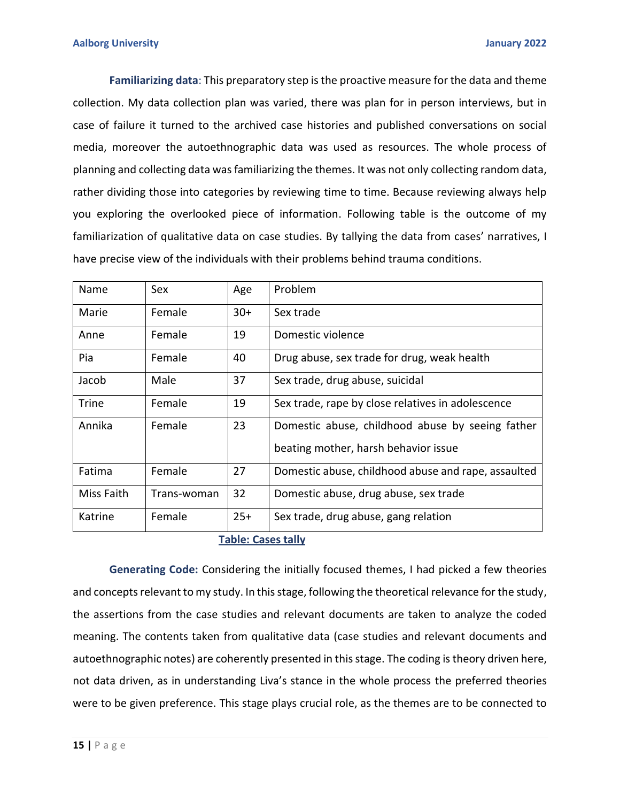**Familiarizing data**: This preparatory step is the proactive measure for the data and theme collection. My data collection plan was varied, there was plan for in person interviews, but in case of failure it turned to the archived case histories and published conversations on social media, moreover the autoethnographic data was used as resources. The whole process of planning and collecting data was familiarizing the themes. It was not only collecting random data, rather dividing those into categories by reviewing time to time. Because reviewing always help you exploring the overlooked piece of information. Following table is the outcome of my familiarization of qualitative data on case studies. By tallying the data from cases' narratives, I have precise view of the individuals with their problems behind trauma conditions.

| Name               | Sex         | Age   | Problem                                             |
|--------------------|-------------|-------|-----------------------------------------------------|
| Marie              | Female      | $30+$ | Sex trade                                           |
| Anne               | Female      | 19    | Domestic violence                                   |
| Pia                | Female      | 40    | Drug abuse, sex trade for drug, weak health         |
| Jacob              | Male        | 37    | Sex trade, drug abuse, suicidal                     |
| <b>Trine</b>       | Female      | 19    | Sex trade, rape by close relatives in adolescence   |
| Annika             | Female      | 23    | Domestic abuse, childhood abuse by seeing father    |
|                    |             |       | beating mother, harsh behavior issue                |
| Fatima             | Female      | 27    | Domestic abuse, childhood abuse and rape, assaulted |
| Miss Faith         | Trans-woman | 32    | Domestic abuse, drug abuse, sex trade               |
| Katrine            | Female      | $25+$ | Sex trade, drug abuse, gang relation                |
| Tahla: Casas tally |             |       |                                                     |

## **Table: Cases tally**

**Generating Code:** Considering the initially focused themes, I had picked a few theories and concepts relevant to my study. In this stage, following the theoretical relevance for the study, the assertions from the case studies and relevant documents are taken to analyze the coded meaning. The contents taken from qualitative data (case studies and relevant documents and autoethnographic notes) are coherently presented in this stage. The coding is theory driven here, not data driven, as in understanding Liva's stance in the whole process the preferred theories were to be given preference. This stage plays crucial role, as the themes are to be connected to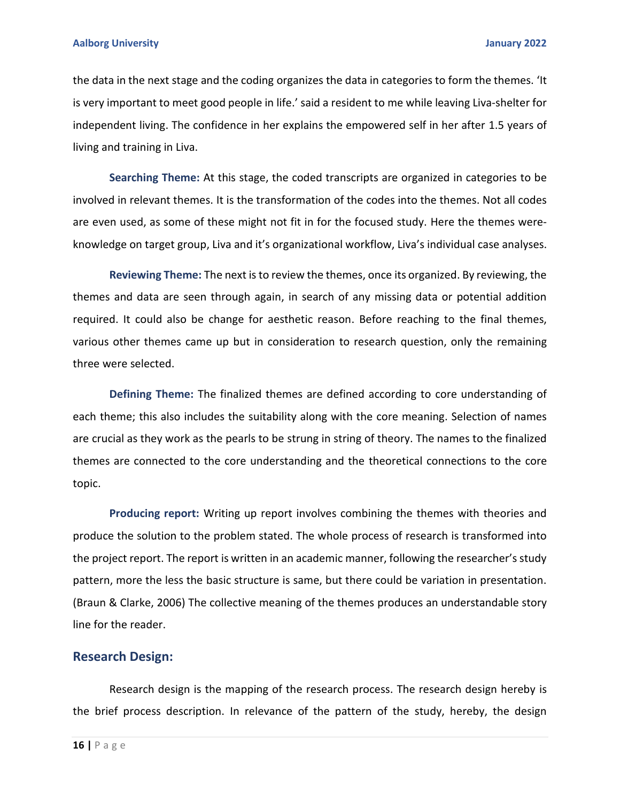the data in the next stage and the coding organizes the data in categories to form the themes. 'It is very important to meet good people in life.' said a resident to me while leaving Liva-shelter for independent living. The confidence in her explains the empowered self in her after 1.5 years of living and training in Liva.

**Searching Theme:** At this stage, the coded transcripts are organized in categories to be involved in relevant themes. It is the transformation of the codes into the themes. Not all codes are even used, as some of these might not fit in for the focused study. Here the themes wereknowledge on target group, Liva and it's organizational workflow, Liva's individual case analyses.

**Reviewing Theme:** The next is to review the themes, once its organized. By reviewing, the themes and data are seen through again, in search of any missing data or potential addition required. It could also be change for aesthetic reason. Before reaching to the final themes, various other themes came up but in consideration to research question, only the remaining three were selected.

**Defining Theme:** The finalized themes are defined according to core understanding of each theme; this also includes the suitability along with the core meaning. Selection of names are crucial as they work as the pearls to be strung in string of theory. The names to the finalized themes are connected to the core understanding and the theoretical connections to the core topic.

**Producing report:** Writing up report involves combining the themes with theories and produce the solution to the problem stated. The whole process of research is transformed into the project report. The report is written in an academic manner, following the researcher's study pattern, more the less the basic structure is same, but there could be variation in presentation. (Braun & Clarke, 2006) The collective meaning of the themes produces an understandable story line for the reader.

#### **Research Design:**

Research design is the mapping of the research process. The research design hereby is the brief process description. In relevance of the pattern of the study, hereby, the design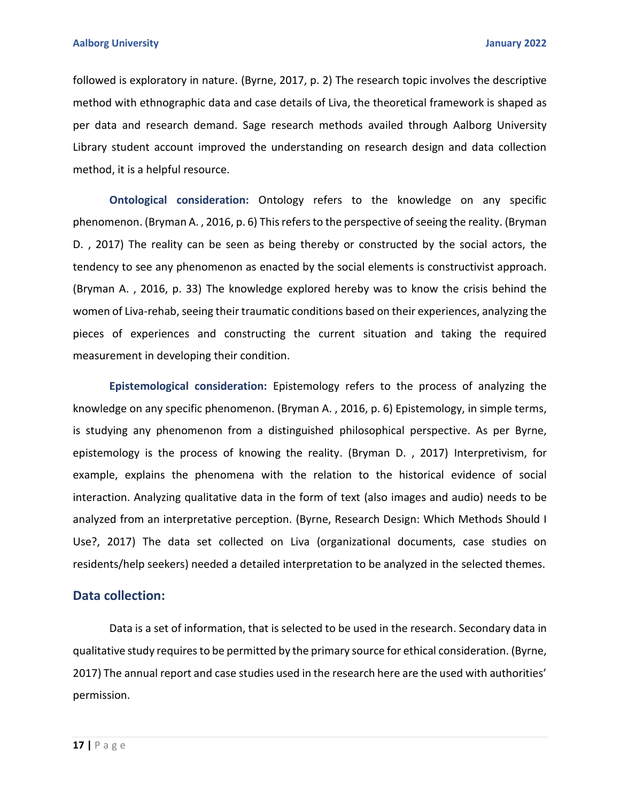followed is exploratory in nature. (Byrne, 2017, p. 2) The research topic involves the descriptive method with ethnographic data and case details of Liva, the theoretical framework is shaped as per data and research demand. Sage research methods availed through Aalborg University Library student account improved the understanding on research design and data collection method, it is a helpful resource.

**Ontological consideration:** Ontology refers to the knowledge on any specific phenomenon. (Bryman A. , 2016, p. 6) This refers to the perspective of seeing the reality. (Bryman D. , 2017) The reality can be seen as being thereby or constructed by the social actors, the tendency to see any phenomenon as enacted by the social elements is constructivist approach. (Bryman A. , 2016, p. 33) The knowledge explored hereby was to know the crisis behind the women of Liva-rehab, seeing their traumatic conditions based on their experiences, analyzing the pieces of experiences and constructing the current situation and taking the required measurement in developing their condition.

**Epistemological consideration:** Epistemology refers to the process of analyzing the knowledge on any specific phenomenon. (Bryman A. , 2016, p. 6) Epistemology, in simple terms, is studying any phenomenon from a distinguished philosophical perspective. As per Byrne, epistemology is the process of knowing the reality. (Bryman D. , 2017) Interpretivism, for example, explains the phenomena with the relation to the historical evidence of social interaction. Analyzing qualitative data in the form of text (also images and audio) needs to be analyzed from an interpretative perception. (Byrne, Research Design: Which Methods Should I Use?, 2017) The data set collected on Liva (organizational documents, case studies on residents/help seekers) needed a detailed interpretation to be analyzed in the selected themes.

### **Data collection:**

Data is a set of information, that is selected to be used in the research. Secondary data in qualitative study requires to be permitted by the primary source for ethical consideration. (Byrne, 2017) The annual report and case studies used in the research here are the used with authorities' permission.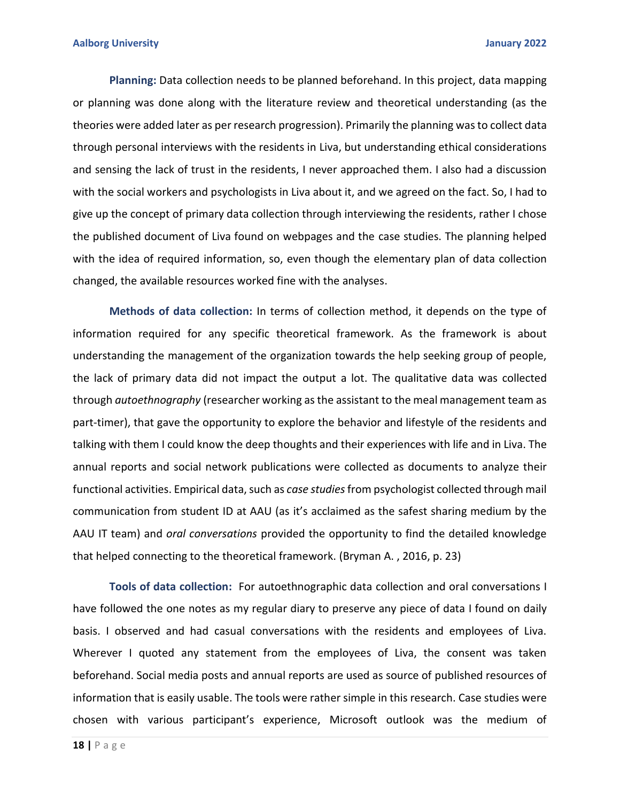**Planning:** Data collection needs to be planned beforehand. In this project, data mapping or planning was done along with the literature review and theoretical understanding (as the theories were added later as per research progression). Primarily the planning was to collect data through personal interviews with the residents in Liva, but understanding ethical considerations and sensing the lack of trust in the residents, I never approached them. I also had a discussion with the social workers and psychologists in Liva about it, and we agreed on the fact. So, I had to give up the concept of primary data collection through interviewing the residents, rather I chose the published document of Liva found on webpages and the case studies. The planning helped with the idea of required information, so, even though the elementary plan of data collection changed, the available resources worked fine with the analyses.

**Methods of data collection:** In terms of collection method, it depends on the type of information required for any specific theoretical framework. As the framework is about understanding the management of the organization towards the help seeking group of people, the lack of primary data did not impact the output a lot. The qualitative data was collected through *autoethnography* (researcher working as the assistant to the meal management team as part-timer), that gave the opportunity to explore the behavior and lifestyle of the residents and talking with them I could know the deep thoughts and their experiences with life and in Liva. The annual reports and social network publications were collected as documents to analyze their functional activities. Empirical data, such as *case studies*from psychologist collected through mail communication from student ID at AAU (as it's acclaimed as the safest sharing medium by the AAU IT team) and *oral conversations* provided the opportunity to find the detailed knowledge that helped connecting to the theoretical framework. (Bryman A. , 2016, p. 23)

**Tools of data collection:** For autoethnographic data collection and oral conversations I have followed the one notes as my regular diary to preserve any piece of data I found on daily basis. I observed and had casual conversations with the residents and employees of Liva. Wherever I quoted any statement from the employees of Liva, the consent was taken beforehand. Social media posts and annual reports are used as source of published resources of information that is easily usable. The tools were rather simple in this research. Case studies were chosen with various participant's experience, Microsoft outlook was the medium of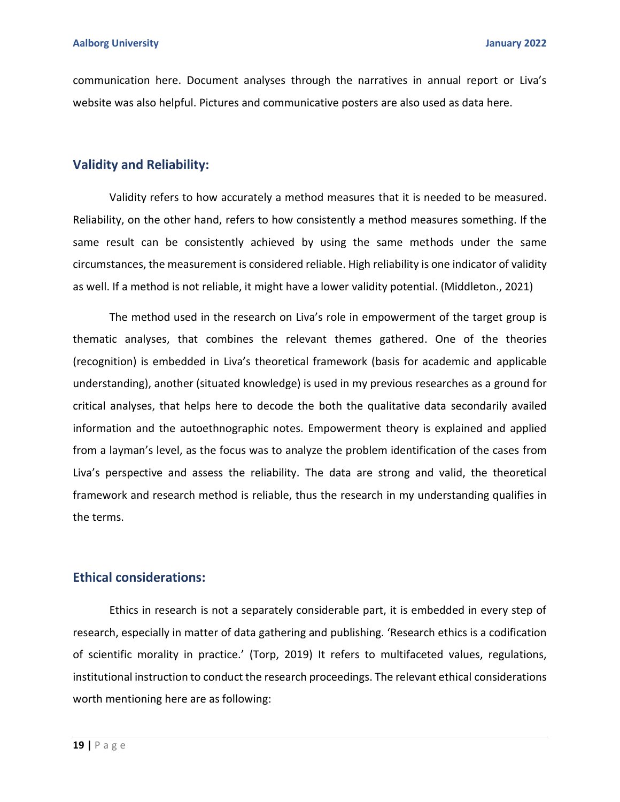communication here. Document analyses through the narratives in annual report or Liva's website was also helpful. Pictures and communicative posters are also used as data here.

### **Validity and Reliability:**

Validity refers to how accurately a method measures that it is needed to be measured. Reliability, on the other hand, refers to how consistently a method measures something. If the same result can be consistently achieved by using the same methods under the same circumstances, the measurement is considered reliable. High reliability is one indicator of validity as well. If a method is not reliable, it might have a lower validity potential. (Middleton., 2021)

The method used in the research on Liva's role in empowerment of the target group is thematic analyses, that combines the relevant themes gathered. One of the theories (recognition) is embedded in Liva's theoretical framework (basis for academic and applicable understanding), another (situated knowledge) is used in my previous researches as a ground for critical analyses, that helps here to decode the both the qualitative data secondarily availed information and the autoethnographic notes. Empowerment theory is explained and applied from a layman's level, as the focus was to analyze the problem identification of the cases from Liva's perspective and assess the reliability. The data are strong and valid, the theoretical framework and research method is reliable, thus the research in my understanding qualifies in the terms.

## **Ethical considerations:**

Ethics in research is not a separately considerable part, it is embedded in every step of research, especially in matter of data gathering and publishing. 'Research ethics is a codification of scientific morality in practice.' (Torp, 2019) It refers to multifaceted values, regulations, institutional instruction to conduct the research proceedings. The relevant ethical considerations worth mentioning here are as following: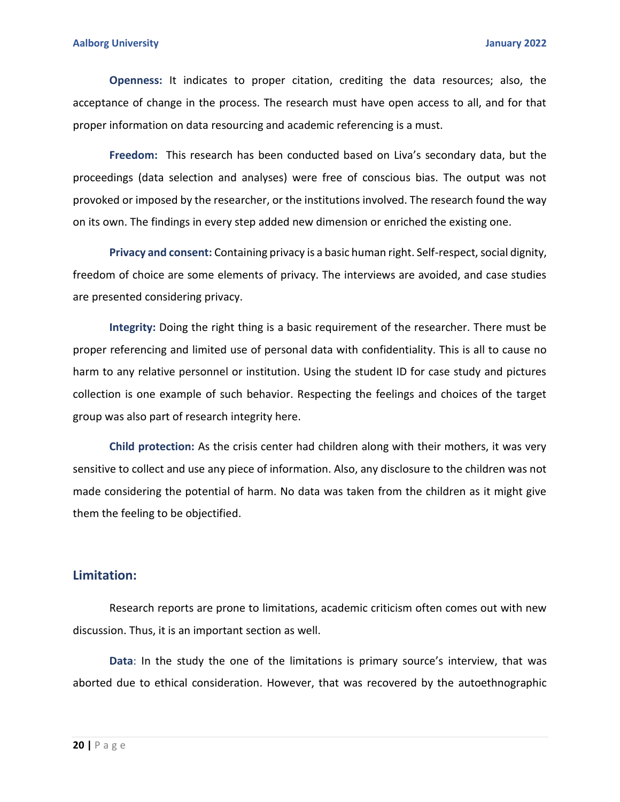**Openness:** It indicates to proper citation, crediting the data resources; also, the acceptance of change in the process. The research must have open access to all, and for that proper information on data resourcing and academic referencing is a must.

**Freedom:** This research has been conducted based on Liva's secondary data, but the proceedings (data selection and analyses) were free of conscious bias. The output was not provoked or imposed by the researcher, or the institutions involved. The research found the way on its own. The findings in every step added new dimension or enriched the existing one.

**Privacy and consent:** Containing privacy is a basic human right. Self-respect, social dignity, freedom of choice are some elements of privacy. The interviews are avoided, and case studies are presented considering privacy.

**Integrity:** Doing the right thing is a basic requirement of the researcher. There must be proper referencing and limited use of personal data with confidentiality. This is all to cause no harm to any relative personnel or institution. Using the student ID for case study and pictures collection is one example of such behavior. Respecting the feelings and choices of the target group was also part of research integrity here.

**Child protection:** As the crisis center had children along with their mothers, it was very sensitive to collect and use any piece of information. Also, any disclosure to the children was not made considering the potential of harm. No data was taken from the children as it might give them the feeling to be objectified.

### **Limitation:**

Research reports are prone to limitations, academic criticism often comes out with new discussion. Thus, it is an important section as well.

**Data**: In the study the one of the limitations is primary source's interview, that was aborted due to ethical consideration. However, that was recovered by the autoethnographic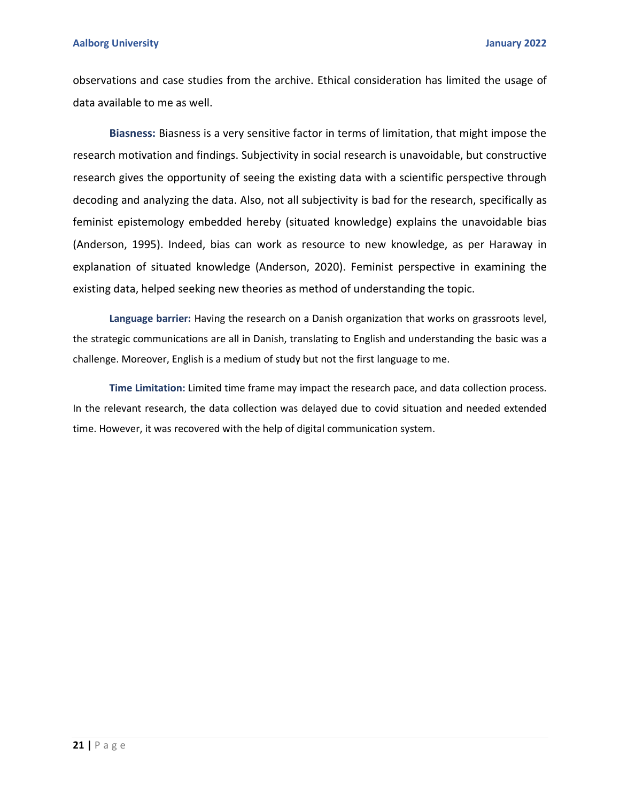#### **Aalborg University January 2022**

observations and case studies from the archive. Ethical consideration has limited the usage of data available to me as well.

**Biasness:** Biasness is a very sensitive factor in terms of limitation, that might impose the research motivation and findings. Subjectivity in social research is unavoidable, but constructive research gives the opportunity of seeing the existing data with a scientific perspective through decoding and analyzing the data. Also, not all subjectivity is bad for the research, specifically as feminist epistemology embedded hereby (situated knowledge) explains the unavoidable bias (Anderson, 1995). Indeed, bias can work as resource to new knowledge, as per Haraway in explanation of situated knowledge (Anderson, 2020). Feminist perspective in examining the existing data, helped seeking new theories as method of understanding the topic.

**Language barrier:** Having the research on a Danish organization that works on grassroots level, the strategic communications are all in Danish, translating to English and understanding the basic was a challenge. Moreover, English is a medium of study but not the first language to me.

**Time Limitation:** Limited time frame may impact the research pace, and data collection process. In the relevant research, the data collection was delayed due to covid situation and needed extended time. However, it was recovered with the help of digital communication system.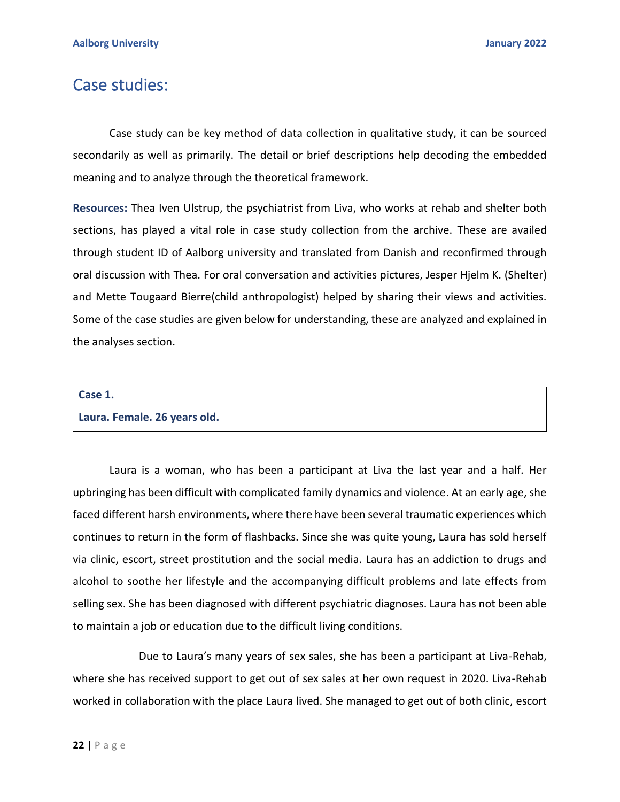## Case studies:

Case study can be key method of data collection in qualitative study, it can be sourced secondarily as well as primarily. The detail or brief descriptions help decoding the embedded meaning and to analyze through the theoretical framework.

**Resources:** Thea Iven Ulstrup, the psychiatrist from Liva, who works at rehab and shelter both sections, has played a vital role in case study collection from the archive. These are availed through student ID of Aalborg university and translated from Danish and reconfirmed through oral discussion with Thea. For oral conversation and activities pictures, Jesper Hjelm K. (Shelter) and Mette Tougaard Bierre(child anthropologist) helped by sharing their views and activities. Some of the case studies are given below for understanding, these are analyzed and explained in the analyses section.

# **Case 1. Laura. Female. 26 years old.**

Laura is a woman, who has been a participant at Liva the last year and a half. Her upbringing has been difficult with complicated family dynamics and violence. At an early age, she faced different harsh environments, where there have been several traumatic experiences which continues to return in the form of flashbacks. Since she was quite young, Laura has sold herself via clinic, escort, street prostitution and the social media. Laura has an addiction to drugs and alcohol to soothe her lifestyle and the accompanying difficult problems and late effects from selling sex. She has been diagnosed with different psychiatric diagnoses. Laura has not been able to maintain a job or education due to the difficult living conditions.

Due to Laura's many years of sex sales, she has been a participant at Liva-Rehab, where she has received support to get out of sex sales at her own request in 2020. Liva-Rehab worked in collaboration with the place Laura lived. She managed to get out of both clinic, escort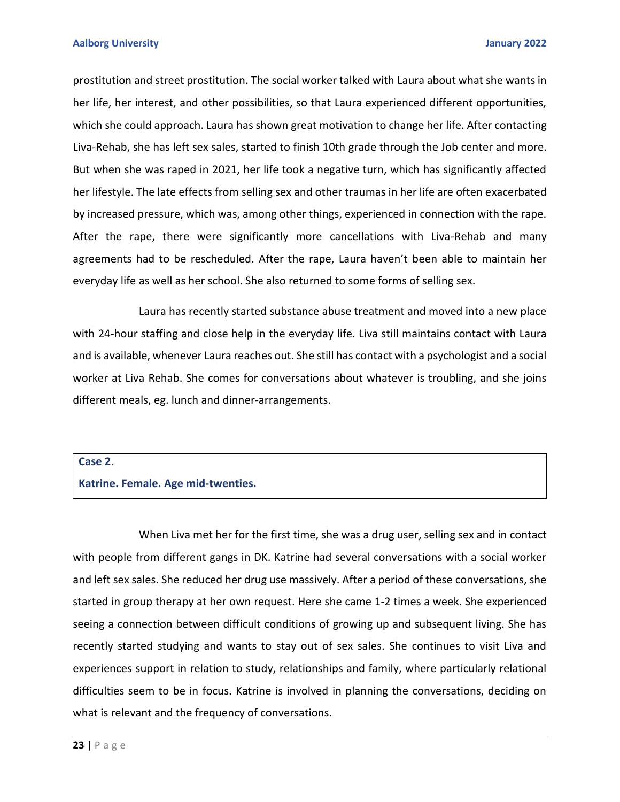prostitution and street prostitution. The social worker talked with Laura about what she wants in her life, her interest, and other possibilities, so that Laura experienced different opportunities, which she could approach. Laura has shown great motivation to change her life. After contacting Liva-Rehab, she has left sex sales, started to finish 10th grade through the Job center and more. But when she was raped in 2021, her life took a negative turn, which has significantly affected her lifestyle. The late effects from selling sex and other traumas in her life are often exacerbated by increased pressure, which was, among other things, experienced in connection with the rape. After the rape, there were significantly more cancellations with Liva-Rehab and many agreements had to be rescheduled. After the rape, Laura haven't been able to maintain her everyday life as well as her school. She also returned to some forms of selling sex.

Laura has recently started substance abuse treatment and moved into a new place with 24-hour staffing and close help in the everyday life. Liva still maintains contact with Laura and is available, whenever Laura reaches out. She still has contact with a psychologist and a social worker at Liva Rehab. She comes for conversations about whatever is troubling, and she joins different meals, eg. lunch and dinner-arrangements.

#### **Case 2.**

#### **Katrine. Female. Age mid-twenties.**

When Liva met her for the first time, she was a drug user, selling sex and in contact with people from different gangs in DK. Katrine had several conversations with a social worker and left sex sales. She reduced her drug use massively. After a period of these conversations, she started in group therapy at her own request. Here she came 1-2 times a week. She experienced seeing a connection between difficult conditions of growing up and subsequent living. She has recently started studying and wants to stay out of sex sales. She continues to visit Liva and experiences support in relation to study, relationships and family, where particularly relational difficulties seem to be in focus. Katrine is involved in planning the conversations, deciding on what is relevant and the frequency of conversations.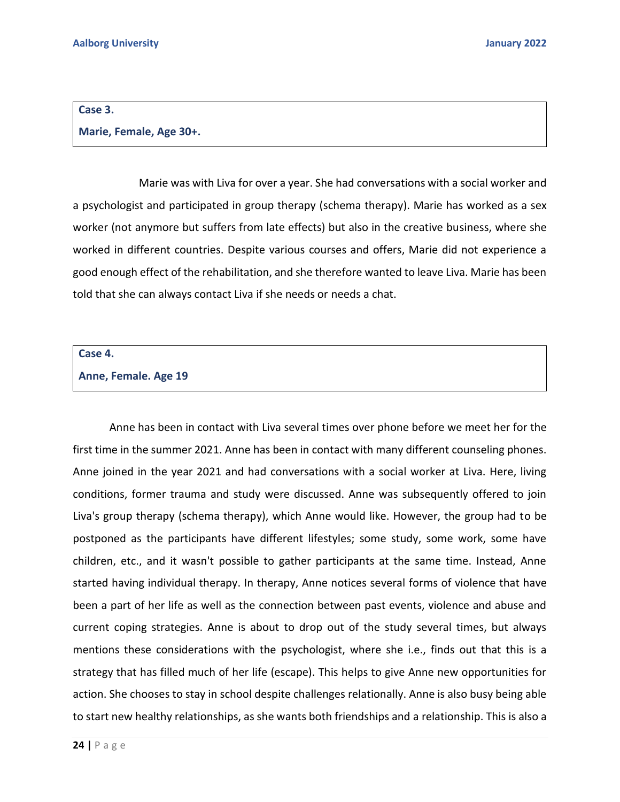#### **Case 3.**

#### **Marie, Female, Age 30+.**

Marie was with Liva for over a year. She had conversations with a social worker and a psychologist and participated in group therapy (schema therapy). Marie has worked as a sex worker (not anymore but suffers from late effects) but also in the creative business, where she worked in different countries. Despite various courses and offers, Marie did not experience a good enough effect of the rehabilitation, and she therefore wanted to leave Liva. Marie has been told that she can always contact Liva if she needs or needs a chat.

#### **Case 4.**

#### **Anne, Female. Age 19**

Anne has been in contact with Liva several times over phone before we meet her for the first time in the summer 2021. Anne has been in contact with many different counseling phones. Anne joined in the year 2021 and had conversations with a social worker at Liva. Here, living conditions, former trauma and study were discussed. Anne was subsequently offered to join Liva's group therapy (schema therapy), which Anne would like. However, the group had to be postponed as the participants have different lifestyles; some study, some work, some have children, etc., and it wasn't possible to gather participants at the same time. Instead, Anne started having individual therapy. In therapy, Anne notices several forms of violence that have been a part of her life as well as the connection between past events, violence and abuse and current coping strategies. Anne is about to drop out of the study several times, but always mentions these considerations with the psychologist, where she i.e., finds out that this is a strategy that has filled much of her life (escape). This helps to give Anne new opportunities for action. She chooses to stay in school despite challenges relationally. Anne is also busy being able to start new healthy relationships, as she wants both friendships and a relationship. This is also a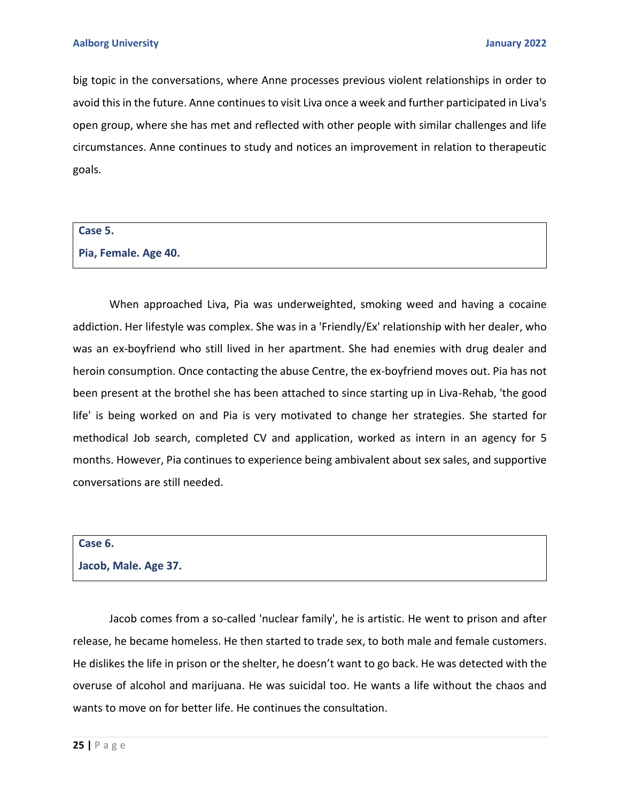big topic in the conversations, where Anne processes previous violent relationships in order to avoid this in the future. Anne continues to visit Liva once a week and further participated in Liva's open group, where she has met and reflected with other people with similar challenges and life circumstances. Anne continues to study and notices an improvement in relation to therapeutic goals.

#### **Case 5.**

**Pia, Female. Age 40.** 

When approached Liva, Pia was underweighted, smoking weed and having a cocaine addiction. Her lifestyle was complex. She was in a 'Friendly/Ex' relationship with her dealer, who was an ex-boyfriend who still lived in her apartment. She had enemies with drug dealer and heroin consumption. Once contacting the abuse Centre, the ex-boyfriend moves out. Pia has not been present at the brothel she has been attached to since starting up in Liva-Rehab, 'the good life' is being worked on and Pia is very motivated to change her strategies. She started for methodical Job search, completed CV and application, worked as intern in an agency for 5 months. However, Pia continues to experience being ambivalent about sex sales, and supportive conversations are still needed.

#### **Case 6.**

#### **Jacob, Male. Age 37.**

Jacob comes from a so-called 'nuclear family', he is artistic. He went to prison and after release, he became homeless. He then started to trade sex, to both male and female customers. He dislikes the life in prison or the shelter, he doesn't want to go back. He was detected with the overuse of alcohol and marijuana. He was suicidal too. He wants a life without the chaos and wants to move on for better life. He continues the consultation.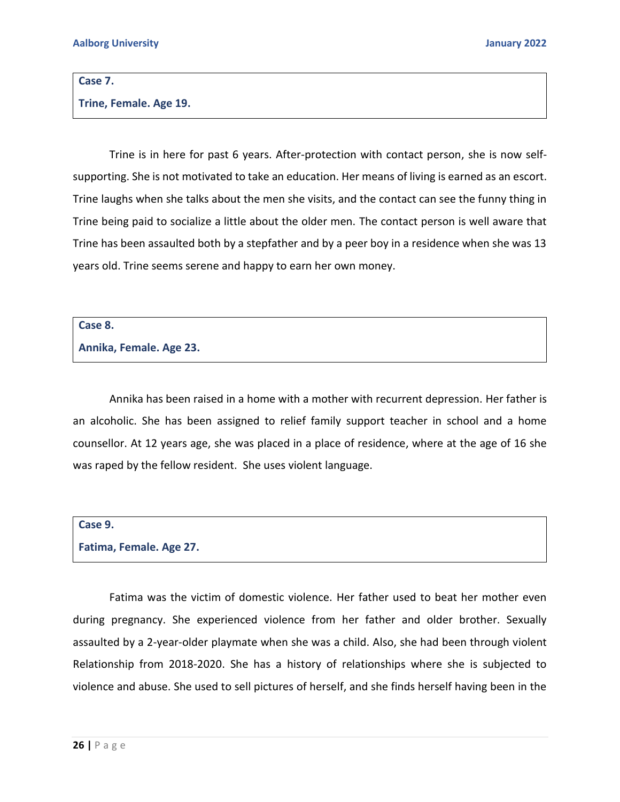#### **Case 7.**

#### **Trine, Female. Age 19.**

Trine is in here for past 6 years. After-protection with contact person, she is now selfsupporting. She is not motivated to take an education. Her means of living is earned as an escort. Trine laughs when she talks about the men she visits, and the contact can see the funny thing in Trine being paid to socialize a little about the older men. The contact person is well aware that Trine has been assaulted both by a stepfather and by a peer boy in a residence when she was 13 years old. Trine seems serene and happy to earn her own money.

#### **Case 8.**

#### **Annika, Female. Age 23.**

Annika has been raised in a home with a mother with recurrent depression. Her father is an alcoholic. She has been assigned to relief family support teacher in school and a home counsellor. At 12 years age, she was placed in a place of residence, where at the age of 16 she was raped by the fellow resident. She uses violent language.

## **Case 9.**

### **Fatima, Female. Age 27.**

Fatima was the victim of domestic violence. Her father used to beat her mother even during pregnancy. She experienced violence from her father and older brother. Sexually assaulted by a 2-year-older playmate when she was a child. Also, she had been through violent Relationship from 2018-2020. She has a history of relationships where she is subjected to violence and abuse. She used to sell pictures of herself, and she finds herself having been in the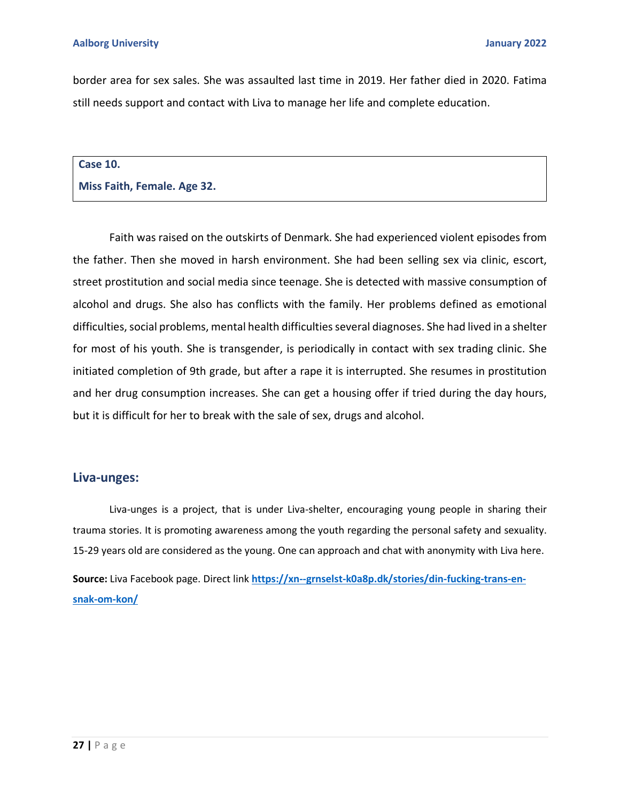border area for sex sales. She was assaulted last time in 2019. Her father died in 2020. Fatima still needs support and contact with Liva to manage her life and complete education.

#### **Case 10.**

**Miss Faith, Female. Age 32.** 

Faith was raised on the outskirts of Denmark. She had experienced violent episodes from the father. Then she moved in harsh environment. She had been selling sex via clinic, escort, street prostitution and social media since teenage. She is detected with massive consumption of alcohol and drugs. She also has conflicts with the family. Her problems defined as emotional difficulties, social problems, mental health difficulties several diagnoses. She had lived in a shelter for most of his youth. She is transgender, is periodically in contact with sex trading clinic. She initiated completion of 9th grade, but after a rape it is interrupted. She resumes in prostitution and her drug consumption increases. She can get a housing offer if tried during the day hours, but it is difficult for her to break with the sale of sex, drugs and alcohol.

## **Liva-unges:**

Liva-unges is a project, that is under Liva-shelter, encouraging young people in sharing their trauma stories. It is promoting awareness among the youth regarding the personal safety and sexuality. 15-29 years old are considered as the young. One can approach and chat with anonymity with Liva here. **Source:** Liva Facebook page. Direct link **[https://xn--grnselst-k0a8p.dk/stories/din-fucking-trans-en](https://grænseløst.dk/stories/din-fucking-trans-en-snak-om-kon/)[snak-om-kon/](https://grænseløst.dk/stories/din-fucking-trans-en-snak-om-kon/)**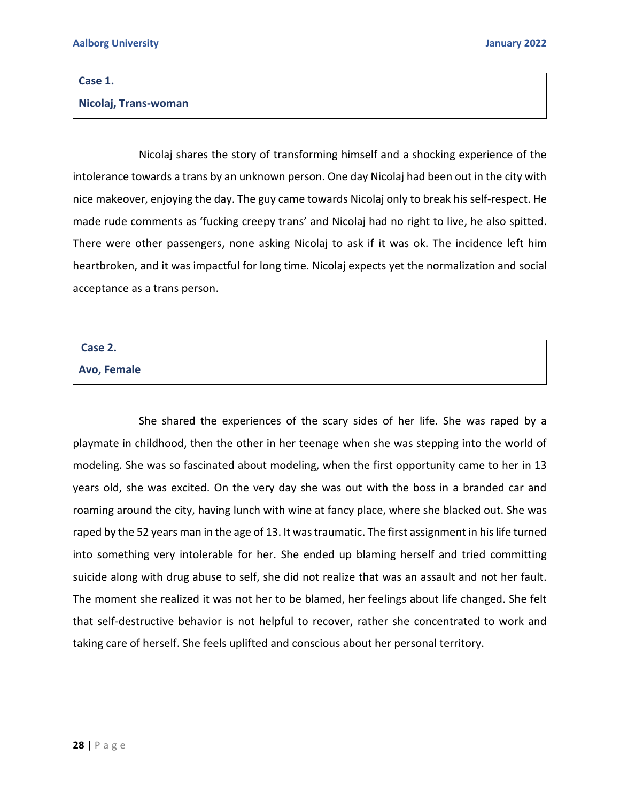#### **Case 1.**

**Nicolaj, Trans-woman**

Nicolaj shares the story of transforming himself and a shocking experience of the intolerance towards a trans by an unknown person. One day Nicolaj had been out in the city with nice makeover, enjoying the day. The guy came towards Nicolaj only to break his self-respect. He made rude comments as 'fucking creepy trans' and Nicolaj had no right to live, he also spitted. There were other passengers, none asking Nicolaj to ask if it was ok. The incidence left him heartbroken, and it was impactful for long time. Nicolaj expects yet the normalization and social acceptance as a trans person.

#### **Case 2.**

**Avo, Female**

She shared the experiences of the scary sides of her life. She was raped by a playmate in childhood, then the other in her teenage when she was stepping into the world of modeling. She was so fascinated about modeling, when the first opportunity came to her in 13 years old, she was excited. On the very day she was out with the boss in a branded car and roaming around the city, having lunch with wine at fancy place, where she blacked out. She was raped by the 52 years man in the age of 13. It was traumatic. The first assignment in his life turned into something very intolerable for her. She ended up blaming herself and tried committing suicide along with drug abuse to self, she did not realize that was an assault and not her fault. The moment she realized it was not her to be blamed, her feelings about life changed. She felt that self-destructive behavior is not helpful to recover, rather she concentrated to work and taking care of herself. She feels uplifted and conscious about her personal territory.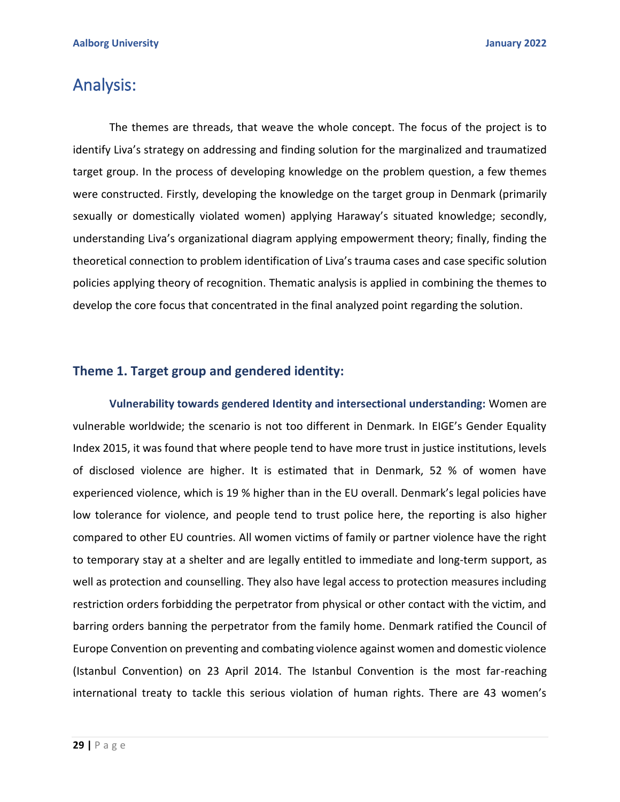# Analysis:

The themes are threads, that weave the whole concept. The focus of the project is to identify Liva's strategy on addressing and finding solution for the marginalized and traumatized target group. In the process of developing knowledge on the problem question, a few themes were constructed. Firstly, developing the knowledge on the target group in Denmark (primarily sexually or domestically violated women) applying Haraway's situated knowledge; secondly, understanding Liva's organizational diagram applying empowerment theory; finally, finding the theoretical connection to problem identification of Liva's trauma cases and case specific solution policies applying theory of recognition. Thematic analysis is applied in combining the themes to develop the core focus that concentrated in the final analyzed point regarding the solution.

## **Theme 1. Target group and gendered identity:**

**Vulnerability towards gendered Identity and intersectional understanding:** Women are vulnerable worldwide; the scenario is not too different in Denmark. In EIGE's Gender Equality Index 2015, it was found that where people tend to have more trust in justice institutions, levels of disclosed violence are higher. It is estimated that in Denmark, 52 % of women have experienced violence, which is 19 % higher than in the EU overall. Denmark's legal policies have low tolerance for violence, and people tend to trust police here, the reporting is also higher compared to other EU countries. All women victims of family or partner violence have the right to temporary stay at a shelter and are legally entitled to immediate and long-term support, as well as protection and counselling. They also have legal access to protection measures including restriction orders forbidding the perpetrator from physical or other contact with the victim, and barring orders banning the perpetrator from the family home. Denmark ratified the Council of Europe Convention on preventing and combating violence against women and domestic violence (Istanbul Convention) on 23 April 2014. The Istanbul Convention is the most far-reaching international treaty to tackle this serious violation of human rights. There are 43 women's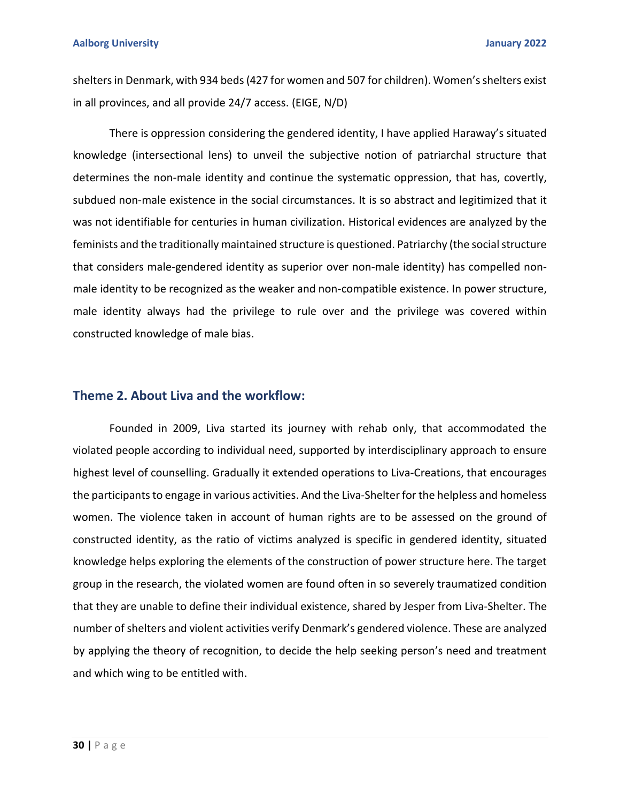shelters in Denmark, with 934 beds (427 for women and 507 for children). Women's shelters exist in all provinces, and all provide 24/7 access. (EIGE, N/D)

There is oppression considering the gendered identity, I have applied Haraway's situated knowledge (intersectional lens) to unveil the subjective notion of patriarchal structure that determines the non-male identity and continue the systematic oppression, that has, covertly, subdued non-male existence in the social circumstances. It is so abstract and legitimized that it was not identifiable for centuries in human civilization. Historical evidences are analyzed by the feminists and the traditionally maintained structure is questioned. Patriarchy (the social structure that considers male-gendered identity as superior over non-male identity) has compelled nonmale identity to be recognized as the weaker and non-compatible existence. In power structure, male identity always had the privilege to rule over and the privilege was covered within constructed knowledge of male bias.

## **Theme 2. About Liva and the workflow:**

Founded in 2009, Liva started its journey with rehab only, that accommodated the violated people according to individual need, supported by interdisciplinary approach to ensure highest level of counselling. Gradually it extended operations to Liva-Creations, that encourages the participants to engage in various activities. And the Liva-Shelter for the helpless and homeless women. The violence taken in account of human rights are to be assessed on the ground of constructed identity, as the ratio of victims analyzed is specific in gendered identity, situated knowledge helps exploring the elements of the construction of power structure here. The target group in the research, the violated women are found often in so severely traumatized condition that they are unable to define their individual existence, shared by Jesper from Liva-Shelter. The number of shelters and violent activities verify Denmark's gendered violence. These are analyzed by applying the theory of recognition, to decide the help seeking person's need and treatment and which wing to be entitled with.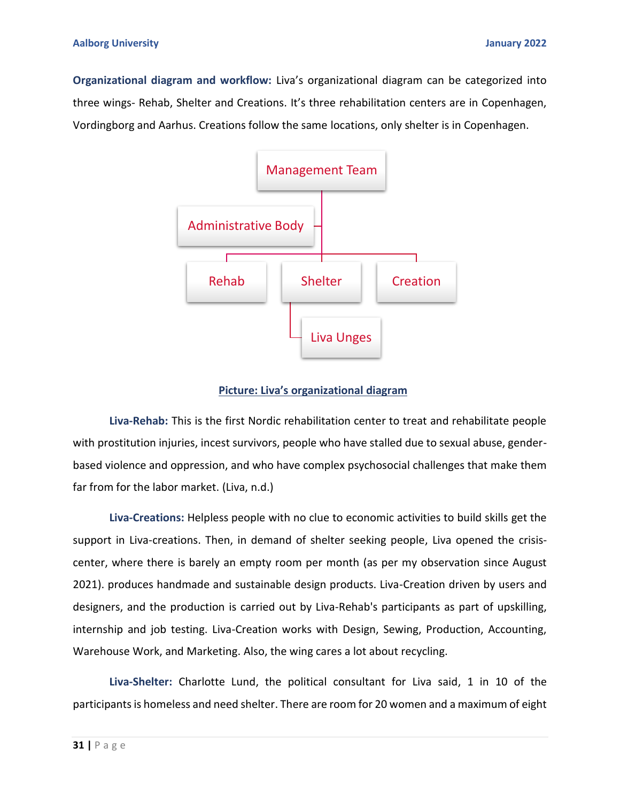**Organizational diagram and workflow:** Liva's organizational diagram can be categorized into three wings- Rehab, Shelter and Creations. It's three rehabilitation centers are in Copenhagen, Vordingborg and Aarhus. Creations follow the same locations, only shelter is in Copenhagen.



### **Picture: Liva's organizational diagram**

**Liva-Rehab:** This is the first Nordic rehabilitation center to treat and rehabilitate people with prostitution injuries, incest survivors, people who have stalled due to sexual abuse, genderbased violence and oppression, and who have complex psychosocial challenges that make them far from for the labor market. (Liva, n.d.)

**Liva-Creations:** Helpless people with no clue to economic activities to build skills get the support in Liva-creations. Then, in demand of shelter seeking people, Liva opened the crisiscenter, where there is barely an empty room per month (as per my observation since August 2021). produces handmade and sustainable design products. Liva-Creation driven by users and designers, and the production is carried out by Liva-Rehab's participants as part of upskilling, internship and job testing. Liva-Creation works with Design, Sewing, Production, Accounting, Warehouse Work, and Marketing. Also, the wing cares a lot about recycling.

**Liva-Shelter:** Charlotte Lund, the political consultant for Liva said, 1 in 10 of the participants is homeless and need shelter. There are room for 20 women and a maximum of eight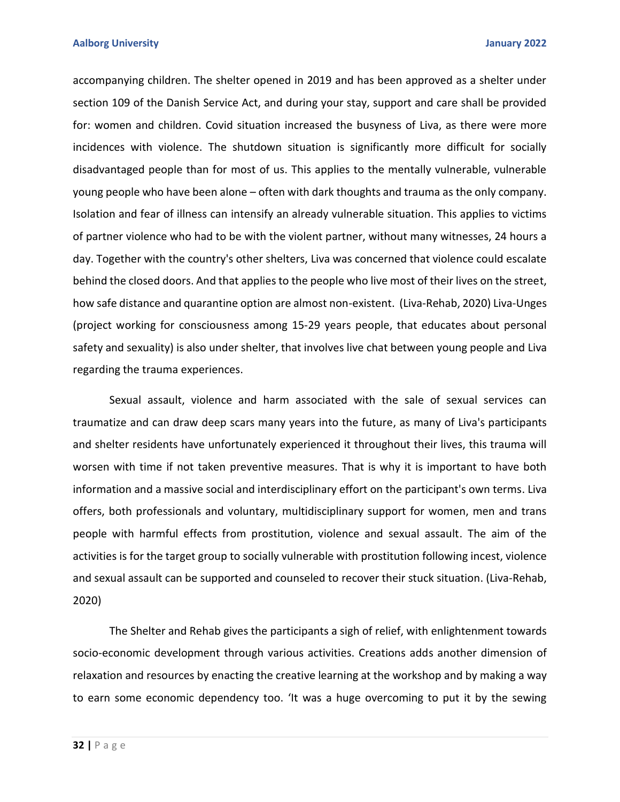accompanying children. The shelter opened in 2019 and has been approved as a shelter under section 109 of the Danish Service Act, and during your stay, support and care shall be provided for: women and children. Covid situation increased the busyness of Liva, as there were more incidences with violence. The shutdown situation is significantly more difficult for socially disadvantaged people than for most of us. This applies to the mentally vulnerable, vulnerable young people who have been alone – often with dark thoughts and trauma as the only company. Isolation and fear of illness can intensify an already vulnerable situation. This applies to victims of partner violence who had to be with the violent partner, without many witnesses, 24 hours a day. Together with the country's other shelters, Liva was concerned that violence could escalate behind the closed doors. And that applies to the people who live most of their lives on the street, how safe distance and quarantine option are almost non-existent. (Liva-Rehab, 2020) Liva-Unges (project working for consciousness among 15-29 years people, that educates about personal safety and sexuality) is also under shelter, that involves live chat between young people and Liva regarding the trauma experiences.

Sexual assault, violence and harm associated with the sale of sexual services can traumatize and can draw deep scars many years into the future, as many of Liva's participants and shelter residents have unfortunately experienced it throughout their lives, this trauma will worsen with time if not taken preventive measures. That is why it is important to have both information and a massive social and interdisciplinary effort on the participant's own terms. Liva offers, both professionals and voluntary, multidisciplinary support for women, men and trans people with harmful effects from prostitution, violence and sexual assault. The aim of the activities is for the target group to socially vulnerable with prostitution following incest, violence and sexual assault can be supported and counseled to recover their stuck situation. (Liva-Rehab, 2020)

The Shelter and Rehab gives the participants a sigh of relief, with enlightenment towards socio-economic development through various activities. Creations adds another dimension of relaxation and resources by enacting the creative learning at the workshop and by making a way to earn some economic dependency too. 'It was a huge overcoming to put it by the sewing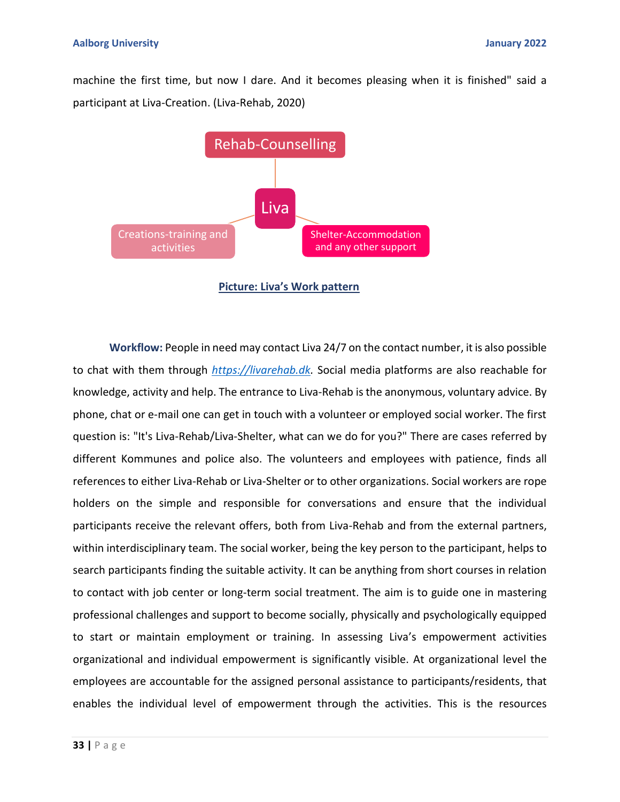machine the first time, but now I dare. And it becomes pleasing when it is finished" said a participant at Liva-Creation. (Liva-Rehab, 2020)



**Picture: Liva's Work pattern** 

**Workflow:** People in need may contact Liva 24/7 on the contact number, it is also possible to chat with them through *[https://livarehab.dk.](https://livarehab.dk/)* Social media platforms are also reachable for knowledge, activity and help. The entrance to Liva-Rehab is the anonymous, voluntary advice. By phone, chat or e-mail one can get in touch with a volunteer or employed social worker. The first question is: "It's Liva-Rehab/Liva-Shelter, what can we do for you?" There are cases referred by different Kommunes and police also. The volunteers and employees with patience, finds all references to either Liva-Rehab or Liva-Shelter or to other organizations. Social workers are rope holders on the simple and responsible for conversations and ensure that the individual participants receive the relevant offers, both from Liva-Rehab and from the external partners, within interdisciplinary team. The social worker, being the key person to the participant, helps to search participants finding the suitable activity. It can be anything from short courses in relation to contact with job center or long-term social treatment. The aim is to guide one in mastering professional challenges and support to become socially, physically and psychologically equipped to start or maintain employment or training. In assessing Liva's empowerment activities organizational and individual empowerment is significantly visible. At organizational level the employees are accountable for the assigned personal assistance to participants/residents, that enables the individual level of empowerment through the activities. This is the resources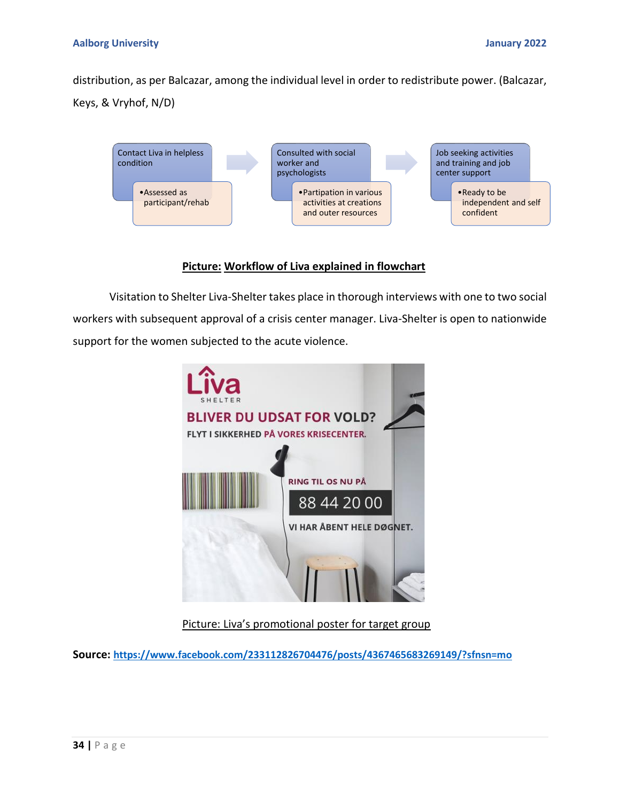distribution, as per Balcazar, among the individual level in order to redistribute power. (Balcazar, Keys, & Vryhof, N/D)



## **Picture: Workflow of Liva explained in flowchart**

Visitation to Shelter Liva-Shelter takes place in thorough interviews with one to two social workers with subsequent approval of a crisis center manager. Liva-Shelter is open to nationwide support for the women subjected to the acute violence.



## Picture: Liva's promotional poster for target group

**Source: <https://www.facebook.com/233112826704476/posts/4367465683269149/?sfnsn=mo>**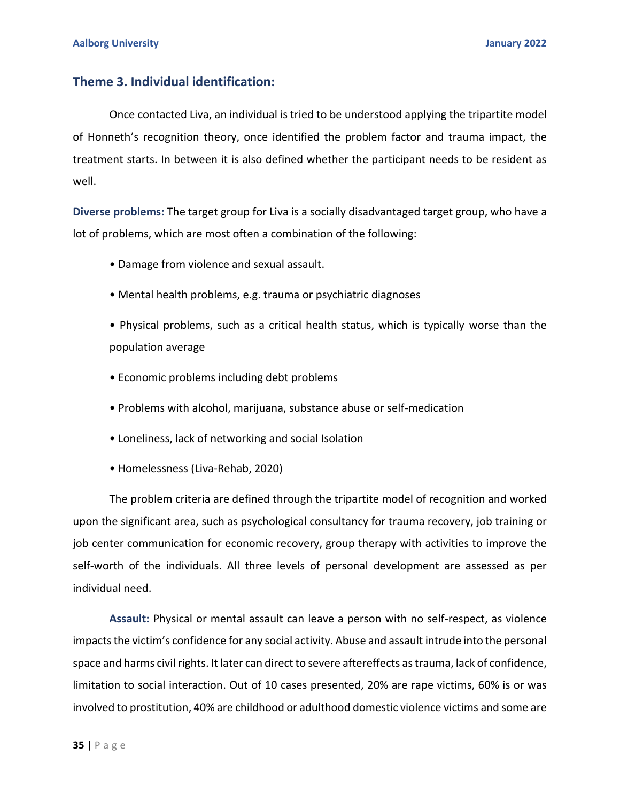## **Theme 3. Individual identification:**

Once contacted Liva, an individual is tried to be understood applying the tripartite model of Honneth's recognition theory, once identified the problem factor and trauma impact, the treatment starts. In between it is also defined whether the participant needs to be resident as well.

**Diverse problems:** The target group for Liva is a socially disadvantaged target group, who have a lot of problems, which are most often a combination of the following:

- Damage from violence and sexual assault.
- Mental health problems, e.g. trauma or psychiatric diagnoses
- Physical problems, such as a critical health status, which is typically worse than the population average
- Economic problems including debt problems
- Problems with alcohol, marijuana, substance abuse or self-medication
- Loneliness, lack of networking and social Isolation
- Homelessness (Liva-Rehab, 2020)

The problem criteria are defined through the tripartite model of recognition and worked upon the significant area, such as psychological consultancy for trauma recovery, job training or job center communication for economic recovery, group therapy with activities to improve the self-worth of the individuals. All three levels of personal development are assessed as per individual need.

**Assault:** Physical or mental assault can leave a person with no self-respect, as violence impacts the victim's confidence for any social activity. Abuse and assault intrude into the personal space and harms civil rights. It later can direct to severe aftereffects as trauma, lack of confidence, limitation to social interaction. Out of 10 cases presented, 20% are rape victims, 60% is or was involved to prostitution, 40% are childhood or adulthood domestic violence victims and some are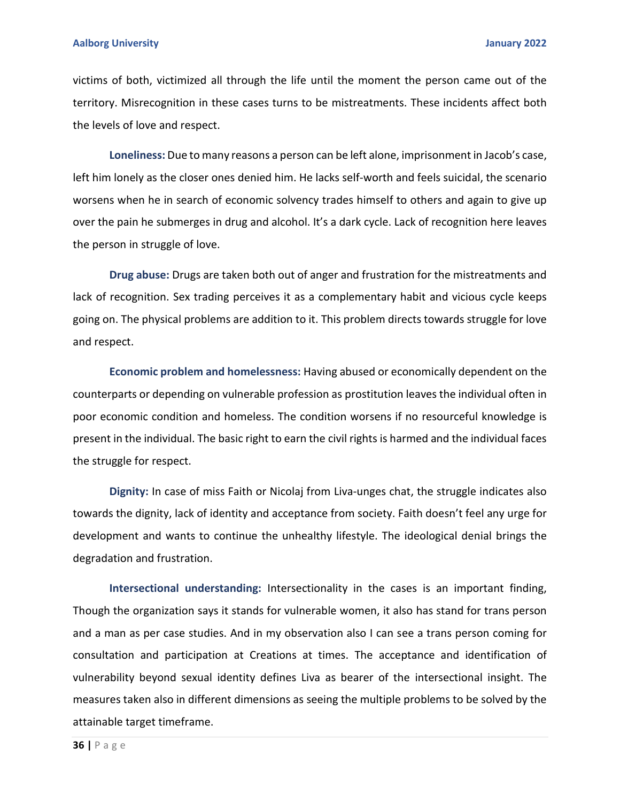#### **Aalborg University January 2022**

victims of both, victimized all through the life until the moment the person came out of the territory. Misrecognition in these cases turns to be mistreatments. These incidents affect both the levels of love and respect.

**Loneliness:** Due to many reasons a person can be left alone, imprisonment in Jacob's case, left him lonely as the closer ones denied him. He lacks self-worth and feels suicidal, the scenario worsens when he in search of economic solvency trades himself to others and again to give up over the pain he submerges in drug and alcohol. It's a dark cycle. Lack of recognition here leaves the person in struggle of love.

**Drug abuse:** Drugs are taken both out of anger and frustration for the mistreatments and lack of recognition. Sex trading perceives it as a complementary habit and vicious cycle keeps going on. The physical problems are addition to it. This problem directs towards struggle for love and respect.

**Economic problem and homelessness:** Having abused or economically dependent on the counterparts or depending on vulnerable profession as prostitution leaves the individual often in poor economic condition and homeless. The condition worsens if no resourceful knowledge is present in the individual. The basic right to earn the civil rights is harmed and the individual faces the struggle for respect.

**Dignity:** In case of miss Faith or Nicolaj from Liva-unges chat, the struggle indicates also towards the dignity, lack of identity and acceptance from society. Faith doesn't feel any urge for development and wants to continue the unhealthy lifestyle. The ideological denial brings the degradation and frustration.

**Intersectional understanding:** Intersectionality in the cases is an important finding, Though the organization says it stands for vulnerable women, it also has stand for trans person and a man as per case studies. And in my observation also I can see a trans person coming for consultation and participation at Creations at times. The acceptance and identification of vulnerability beyond sexual identity defines Liva as bearer of the intersectional insight. The measures taken also in different dimensions as seeing the multiple problems to be solved by the attainable target timeframe.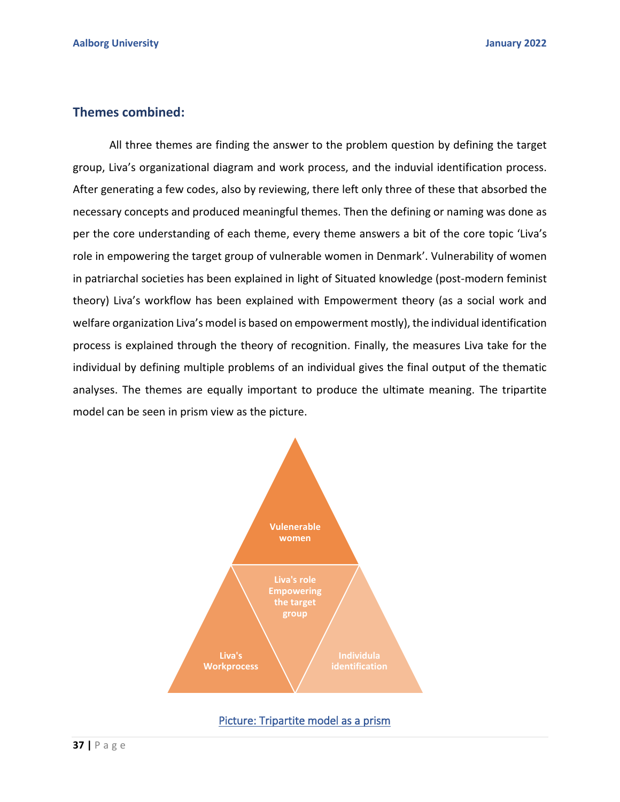## **Themes combined:**

 All three themes are finding the answer to the problem question by defining the target group, Liva's organizational diagram and work process, and the induvial identification process. After generating a few codes, also by reviewing, there left only three of these that absorbed the necessary concepts and produced meaningful themes. Then the defining or naming was done as per the core understanding of each theme, every theme answers a bit of the core topic 'Liva's role in empowering the target group of vulnerable women in Denmark'. Vulnerability of women in patriarchal societies has been explained in light of Situated knowledge (post-modern feminist theory) Liva's workflow has been explained with Empowerment theory (as a social work and welfare organization Liva's model is based on empowerment mostly), the individual identification process is explained through the theory of recognition. Finally, the measures Liva take for the individual by defining multiple problems of an individual gives the final output of the thematic analyses. The themes are equally important to produce the ultimate meaning. The tripartite model can be seen in prism view as the picture.



Picture: Tripartite model as a prism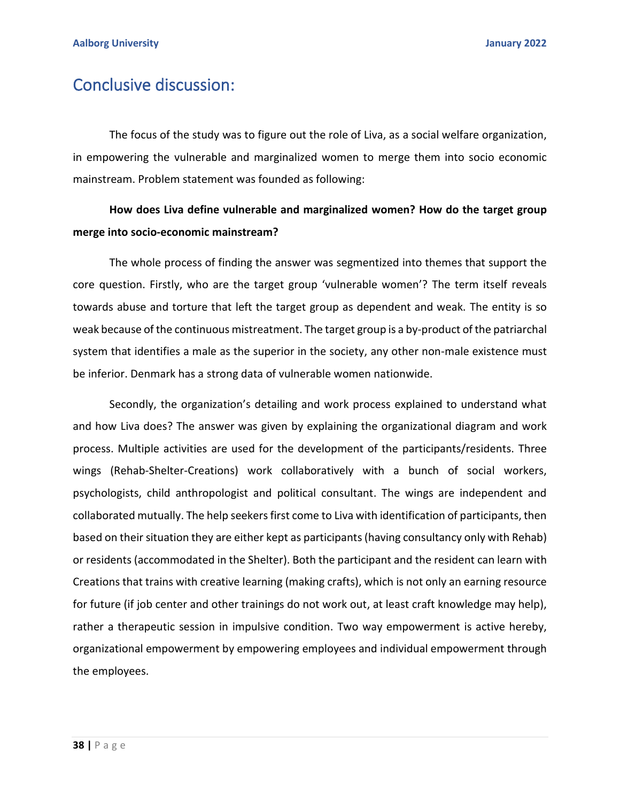# Conclusive discussion:

The focus of the study was to figure out the role of Liva, as a social welfare organization, in empowering the vulnerable and marginalized women to merge them into socio economic mainstream. Problem statement was founded as following:

## **How does Liva define vulnerable and marginalized women? How do the target group merge into socio-economic mainstream?**

The whole process of finding the answer was segmentized into themes that support the core question. Firstly, who are the target group 'vulnerable women'? The term itself reveals towards abuse and torture that left the target group as dependent and weak. The entity is so weak because of the continuous mistreatment. The target group is a by-product of the patriarchal system that identifies a male as the superior in the society, any other non-male existence must be inferior. Denmark has a strong data of vulnerable women nationwide.

Secondly, the organization's detailing and work process explained to understand what and how Liva does? The answer was given by explaining the organizational diagram and work process. Multiple activities are used for the development of the participants/residents. Three wings (Rehab-Shelter-Creations) work collaboratively with a bunch of social workers, psychologists, child anthropologist and political consultant. The wings are independent and collaborated mutually. The help seekers first come to Liva with identification of participants, then based on their situation they are either kept as participants (having consultancy only with Rehab) or residents (accommodated in the Shelter). Both the participant and the resident can learn with Creations that trains with creative learning (making crafts), which is not only an earning resource for future (if job center and other trainings do not work out, at least craft knowledge may help), rather a therapeutic session in impulsive condition. Two way empowerment is active hereby, organizational empowerment by empowering employees and individual empowerment through the employees.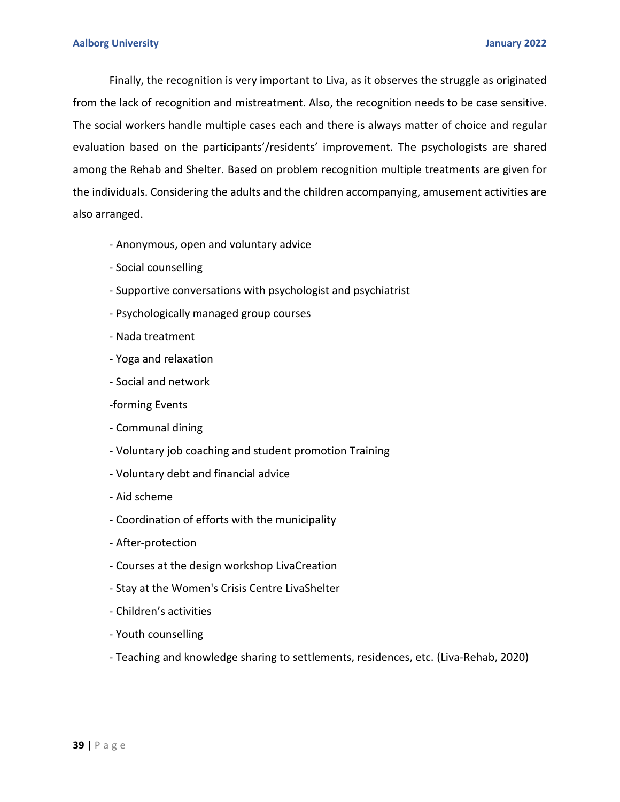Finally, the recognition is very important to Liva, as it observes the struggle as originated from the lack of recognition and mistreatment. Also, the recognition needs to be case sensitive. The social workers handle multiple cases each and there is always matter of choice and regular evaluation based on the participants'/residents' improvement. The psychologists are shared among the Rehab and Shelter. Based on problem recognition multiple treatments are given for the individuals. Considering the adults and the children accompanying, amusement activities are also arranged.

- Anonymous, open and voluntary advice
- Social counselling
- Supportive conversations with psychologist and psychiatrist
- Psychologically managed group courses
- Nada treatment
- Yoga and relaxation
- Social and network
- -forming Events
- Communal dining
- Voluntary job coaching and student promotion Training
- Voluntary debt and financial advice
- Aid scheme
- Coordination of efforts with the municipality
- After-protection
- Courses at the design workshop LivaCreation
- Stay at the Women's Crisis Centre LivaShelter
- Children's activities
- Youth counselling
- Teaching and knowledge sharing to settlements, residences, etc. (Liva-Rehab, 2020)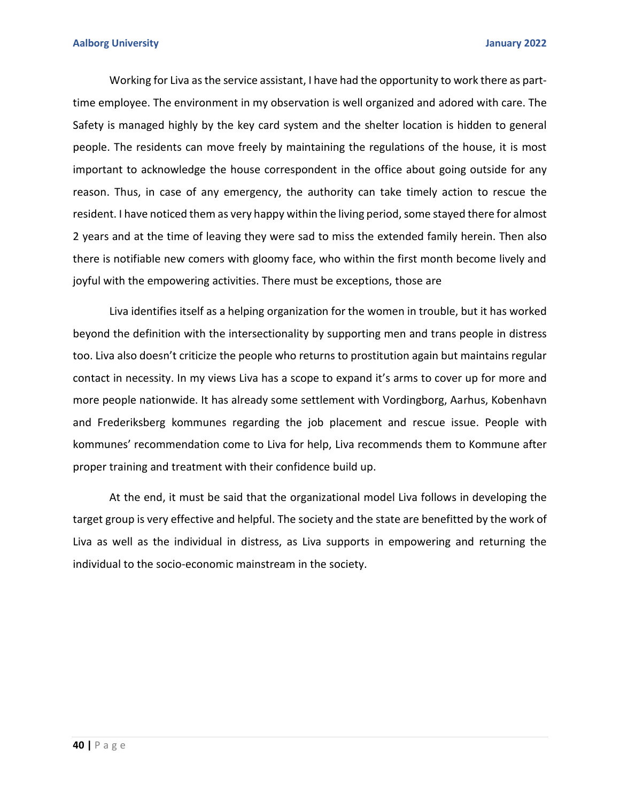Working for Liva as the service assistant, I have had the opportunity to work there as parttime employee. The environment in my observation is well organized and adored with care. The Safety is managed highly by the key card system and the shelter location is hidden to general people. The residents can move freely by maintaining the regulations of the house, it is most important to acknowledge the house correspondent in the office about going outside for any reason. Thus, in case of any emergency, the authority can take timely action to rescue the resident. I have noticed them as very happy within the living period, some stayed there for almost 2 years and at the time of leaving they were sad to miss the extended family herein. Then also there is notifiable new comers with gloomy face, who within the first month become lively and joyful with the empowering activities. There must be exceptions, those are

Liva identifies itself as a helping organization for the women in trouble, but it has worked beyond the definition with the intersectionality by supporting men and trans people in distress too. Liva also doesn't criticize the people who returns to prostitution again but maintains regular contact in necessity. In my views Liva has a scope to expand it's arms to cover up for more and more people nationwide. It has already some settlement with Vordingborg, Aarhus, Kobenhavn and Frederiksberg kommunes regarding the job placement and rescue issue. People with kommunes' recommendation come to Liva for help, Liva recommends them to Kommune after proper training and treatment with their confidence build up.

At the end, it must be said that the organizational model Liva follows in developing the target group is very effective and helpful. The society and the state are benefitted by the work of Liva as well as the individual in distress, as Liva supports in empowering and returning the individual to the socio-economic mainstream in the society.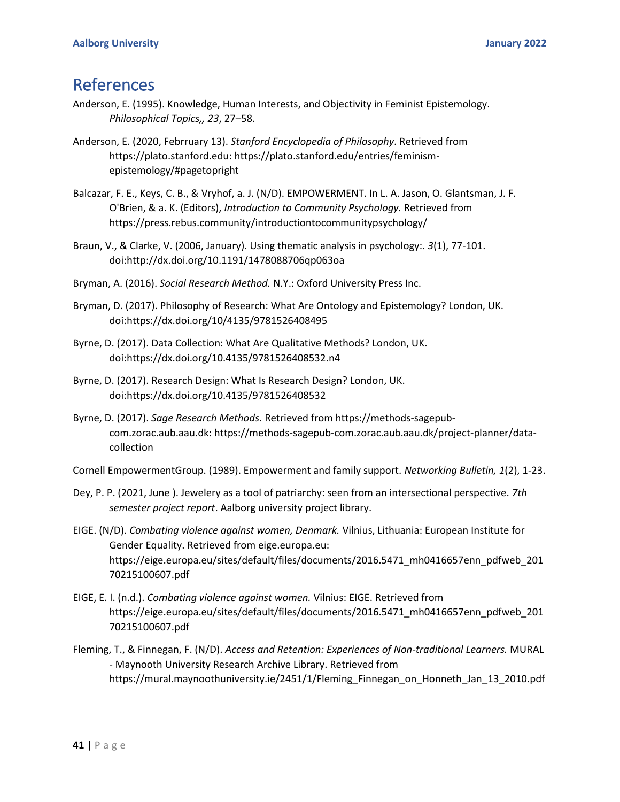# References

- Anderson, E. (1995). Knowledge, Human Interests, and Objectivity in Feminist Epistemology. *Philosophical Topics,, 23*, 27–58.
- Anderson, E. (2020, Febrruary 13). *Stanford Encyclopedia of Philosophy*. Retrieved from https://plato.stanford.edu: https://plato.stanford.edu/entries/feminismepistemology/#pagetopright
- Balcazar, F. E., Keys, C. B., & Vryhof, a. J. (N/D). EMPOWERMENT. In L. A. Jason, O. Glantsman, J. F. O'Brien, & a. K. (Editors), *Introduction to Community Psychology.* Retrieved from https://press.rebus.community/introductiontocommunitypsychology/
- Braun, V., & Clarke, V. (2006, January). Using thematic analysis in psychology:. *3*(1), 77-101. doi:http://dx.doi.org/10.1191/1478088706qp063oa
- Bryman, A. (2016). *Social Research Method.* N.Y.: Oxford University Press Inc.
- Bryman, D. (2017). Philosophy of Research: What Are Ontology and Epistemology? London, UK. doi:https://dx.doi.org/10/4135/9781526408495
- Byrne, D. (2017). Data Collection: What Are Qualitative Methods? London, UK. doi:https://dx.doi.org/10.4135/9781526408532.n4
- Byrne, D. (2017). Research Design: What Is Research Design? London, UK. doi:https://dx.doi.org/10.4135/9781526408532
- Byrne, D. (2017). *Sage Research Methods*. Retrieved from https://methods-sagepubcom.zorac.aub.aau.dk: https://methods-sagepub-com.zorac.aub.aau.dk/project-planner/datacollection

Cornell EmpowermentGroup. (1989). Empowerment and family support. *Networking Bulletin, 1*(2), 1-23.

- Dey, P. P. (2021, June ). Jewelery as a tool of patriarchy: seen from an intersectional perspective. *7th semester project report*. Aalborg university project library.
- EIGE. (N/D). *Combating violence against women, Denmark.* Vilnius, Lithuania: European Institute for Gender Equality. Retrieved from eige.europa.eu: https://eige.europa.eu/sites/default/files/documents/2016.5471\_mh0416657enn\_pdfweb\_201 70215100607.pdf
- EIGE, E. I. (n.d.). *Combating violence against women.* Vilnius: EIGE. Retrieved from https://eige.europa.eu/sites/default/files/documents/2016.5471\_mh0416657enn\_pdfweb\_201 70215100607.pdf
- Fleming, T., & Finnegan, F. (N/D). *Access and Retention: Experiences of Non-traditional Learners.* MURAL - Maynooth University Research Archive Library. Retrieved from https://mural.maynoothuniversity.ie/2451/1/Fleming\_Finnegan\_on\_Honneth\_Jan\_13\_2010.pdf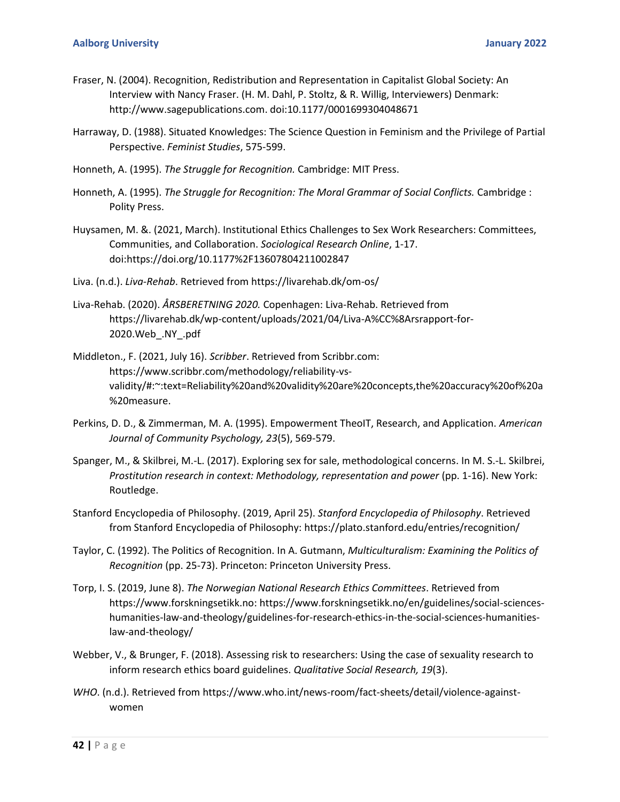- Fraser, N. (2004). Recognition, Redistribution and Representation in Capitalist Global Society: An Interview with Nancy Fraser. (H. M. Dahl, P. Stoltz, & R. Willig, Interviewers) Denmark: http://www.sagepublications.com. doi:10.1177/0001699304048671
- Harraway, D. (1988). Situated Knowledges: The Science Question in Feminism and the Privilege of Partial Perspective. *Feminist Studies*, 575-599.
- Honneth, A. (1995). *The Struggle for Recognition.* Cambridge: MIT Press.
- Honneth, A. (1995). *The Struggle for Recognition: The Moral Grammar of Social Conflicts.* Cambridge : Polity Press.
- Huysamen, M. &. (2021, March). Institutional Ethics Challenges to Sex Work Researchers: Committees, Communities, and Collaboration. *Sociological Research Online*, 1-17. doi:https://doi.org/10.1177%2F13607804211002847
- Liva. (n.d.). *Liva-Rehab*. Retrieved from https://livarehab.dk/om-os/
- Liva-Rehab. (2020). *ÅRSBERETNING 2020.* Copenhagen: Liva-Rehab. Retrieved from https://livarehab.dk/wp-content/uploads/2021/04/Liva-A%CC%8Arsrapport-for-2020.Web\_.NY\_.pdf
- Middleton., F. (2021, July 16). *Scribber*. Retrieved from Scribbr.com: https://www.scribbr.com/methodology/reliability-vsvalidity/#:~:text=Reliability%20and%20validity%20are%20concepts,the%20accuracy%20of%20a %20measure.
- Perkins, D. D., & Zimmerman, M. A. (1995). Empowerment TheoIT, Research, and Application. *American Journal of Community Psychology, 23*(5), 569-579.
- Spanger, M., & Skilbrei, M.-L. (2017). Exploring sex for sale, methodological concerns. In M. S.-L. Skilbrei, *Prostitution research in context: Methodology, representation and power* (pp. 1-16). New York: Routledge.
- Stanford Encyclopedia of Philosophy. (2019, April 25). *Stanford Encyclopedia of Philosophy*. Retrieved from Stanford Encyclopedia of Philosophy: https://plato.stanford.edu/entries/recognition/
- Taylor, C. (1992). The Politics of Recognition. In A. Gutmann, *Multiculturalism: Examining the Politics of Recognition* (pp. 25-73). Princeton: Princeton University Press.
- Torp, I. S. (2019, June 8). *The Norwegian National Research Ethics Committees*. Retrieved from https://www.forskningsetikk.no: https://www.forskningsetikk.no/en/guidelines/social-scienceshumanities-law-and-theology/guidelines-for-research-ethics-in-the-social-sciences-humanitieslaw-and-theology/
- Webber, V., & Brunger, F. (2018). Assessing risk to researchers: Using the case of sexuality research to inform research ethics board guidelines. *Qualitative Social Research, 19*(3).
- *WHO*. (n.d.). Retrieved from https://www.who.int/news-room/fact-sheets/detail/violence-againstwomen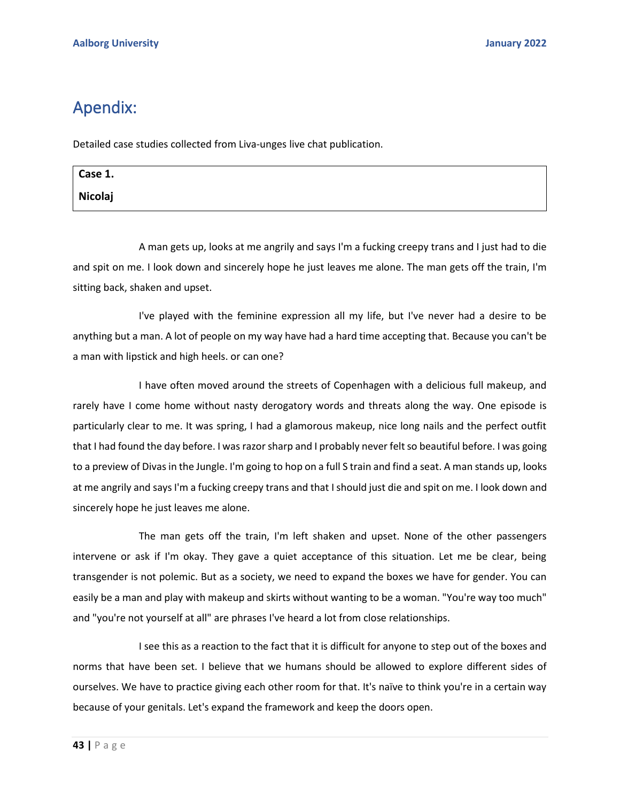# Apendix:

Detailed case studies collected from Liva-unges live chat publication.

| Case 1. |  |
|---------|--|
| Nicolaj |  |

A man gets up, looks at me angrily and says I'm a fucking creepy trans and I just had to die and spit on me. I look down and sincerely hope he just leaves me alone. The man gets off the train, I'm sitting back, shaken and upset.

I've played with the feminine expression all my life, but I've never had a desire to be anything but a man. A lot of people on my way have had a hard time accepting that. Because you can't be a man with lipstick and high heels. or can one?

I have often moved around the streets of Copenhagen with a delicious full makeup, and rarely have I come home without nasty derogatory words and threats along the way. One episode is particularly clear to me. It was spring, I had a glamorous makeup, nice long nails and the perfect outfit that I had found the day before. I was razor sharp and I probably never felt so beautiful before. I was going to a preview of Divas in the Jungle. I'm going to hop on a full S train and find a seat. A man stands up, looks at me angrily and says I'm a fucking creepy trans and that I should just die and spit on me. I look down and sincerely hope he just leaves me alone.

The man gets off the train, I'm left shaken and upset. None of the other passengers intervene or ask if I'm okay. They gave a quiet acceptance of this situation. Let me be clear, being transgender is not polemic. But as a society, we need to expand the boxes we have for gender. You can easily be a man and play with makeup and skirts without wanting to be a woman. "You're way too much" and "you're not yourself at all" are phrases I've heard a lot from close relationships.

I see this as a reaction to the fact that it is difficult for anyone to step out of the boxes and norms that have been set. I believe that we humans should be allowed to explore different sides of ourselves. We have to practice giving each other room for that. It's naïve to think you're in a certain way because of your genitals. Let's expand the framework and keep the doors open.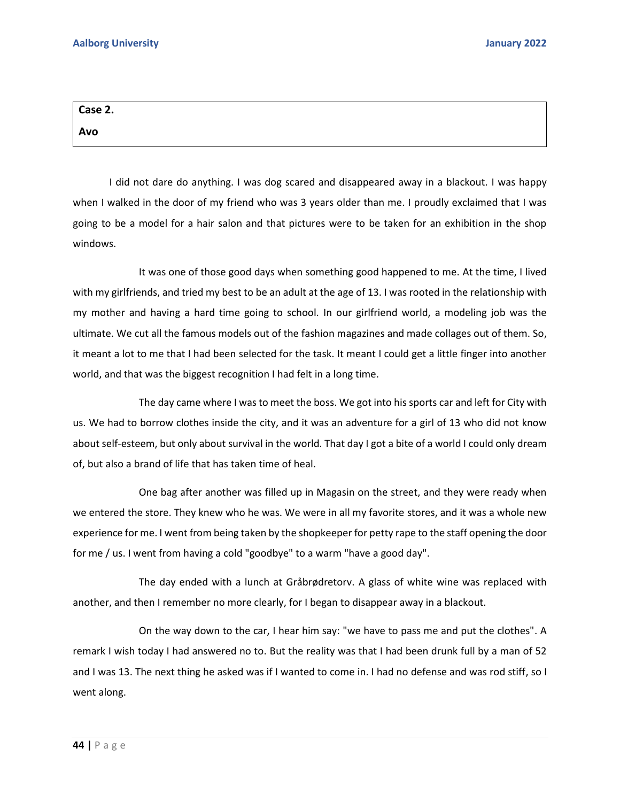| Case 2. |  |  |
|---------|--|--|
| Avo     |  |  |

I did not dare do anything. I was dog scared and disappeared away in a blackout. I was happy when I walked in the door of my friend who was 3 years older than me. I proudly exclaimed that I was going to be a model for a hair salon and that pictures were to be taken for an exhibition in the shop windows.

It was one of those good days when something good happened to me. At the time, I lived with my girlfriends, and tried my best to be an adult at the age of 13. I was rooted in the relationship with my mother and having a hard time going to school. In our girlfriend world, a modeling job was the ultimate. We cut all the famous models out of the fashion magazines and made collages out of them. So, it meant a lot to me that I had been selected for the task. It meant I could get a little finger into another world, and that was the biggest recognition I had felt in a long time.

The day came where I was to meet the boss. We got into his sports car and left for City with us. We had to borrow clothes inside the city, and it was an adventure for a girl of 13 who did not know about self-esteem, but only about survival in the world. That day I got a bite of a world I could only dream of, but also a brand of life that has taken time of heal.

One bag after another was filled up in Magasin on the street, and they were ready when we entered the store. They knew who he was. We were in all my favorite stores, and it was a whole new experience for me. I went from being taken by the shopkeeper for petty rape to the staff opening the door for me / us. I went from having a cold "goodbye" to a warm "have a good day".

The day ended with a lunch at Gråbrødretorv. A glass of white wine was replaced with another, and then I remember no more clearly, for I began to disappear away in a blackout.

On the way down to the car, I hear him say: "we have to pass me and put the clothes". A remark I wish today I had answered no to. But the reality was that I had been drunk full by a man of 52 and I was 13. The next thing he asked was if I wanted to come in. I had no defense and was rod stiff, so I went along.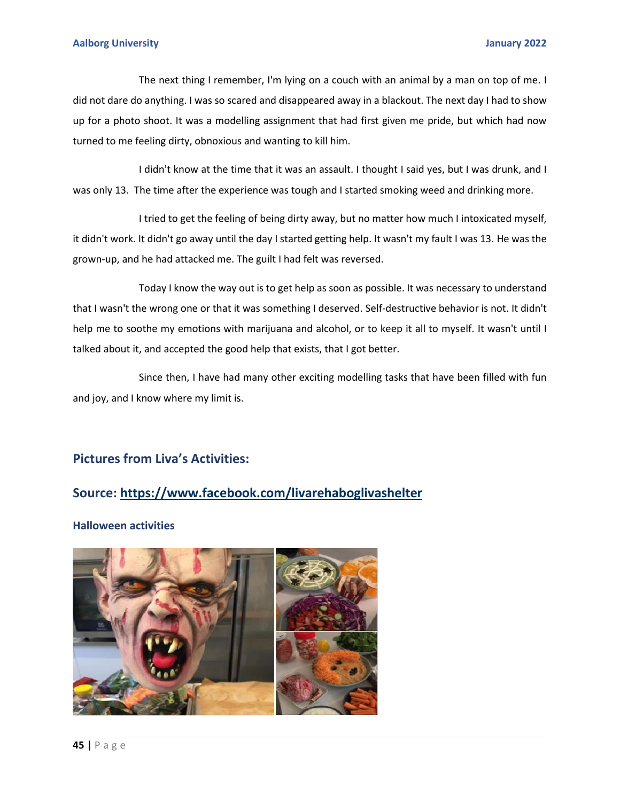#### **Aalborg University January 2022**

The next thing I remember, I'm lying on a couch with an animal by a man on top of me. I did not dare do anything. I was so scared and disappeared away in a blackout. The next day I had to show up for a photo shoot. It was a modelling assignment that had first given me pride, but which had now turned to me feeling dirty, obnoxious and wanting to kill him.

I didn't know at the time that it was an assault. I thought I said yes, but I was drunk, and I was only 13. The time after the experience was tough and I started smoking weed and drinking more.

I tried to get the feeling of being dirty away, but no matter how much I intoxicated myself, it didn't work. It didn't go away until the day I started getting help. It wasn't my fault I was 13. He was the grown-up, and he had attacked me. The guilt I had felt was reversed.

Today I know the way out is to get help as soon as possible. It was necessary to understand that I wasn't the wrong one or that it was something I deserved. Self-destructive behavior is not. It didn't help me to soothe my emotions with marijuana and alcohol, or to keep it all to myself. It wasn't until I talked about it, and accepted the good help that exists, that I got better.

Since then, I have had many other exciting modelling tasks that have been filled with fun and joy, and I know where my limit is.

## **Pictures from Liva's Activities:**

## **Source:<https://www.facebook.com/livarehaboglivashelter>**

**Halloween activities**

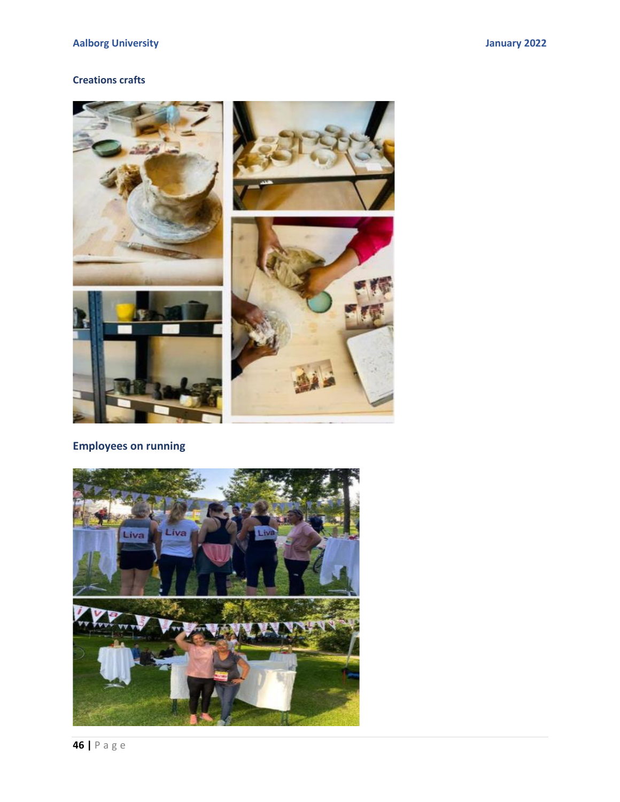## **Creations crafts**



## **Employees on running**